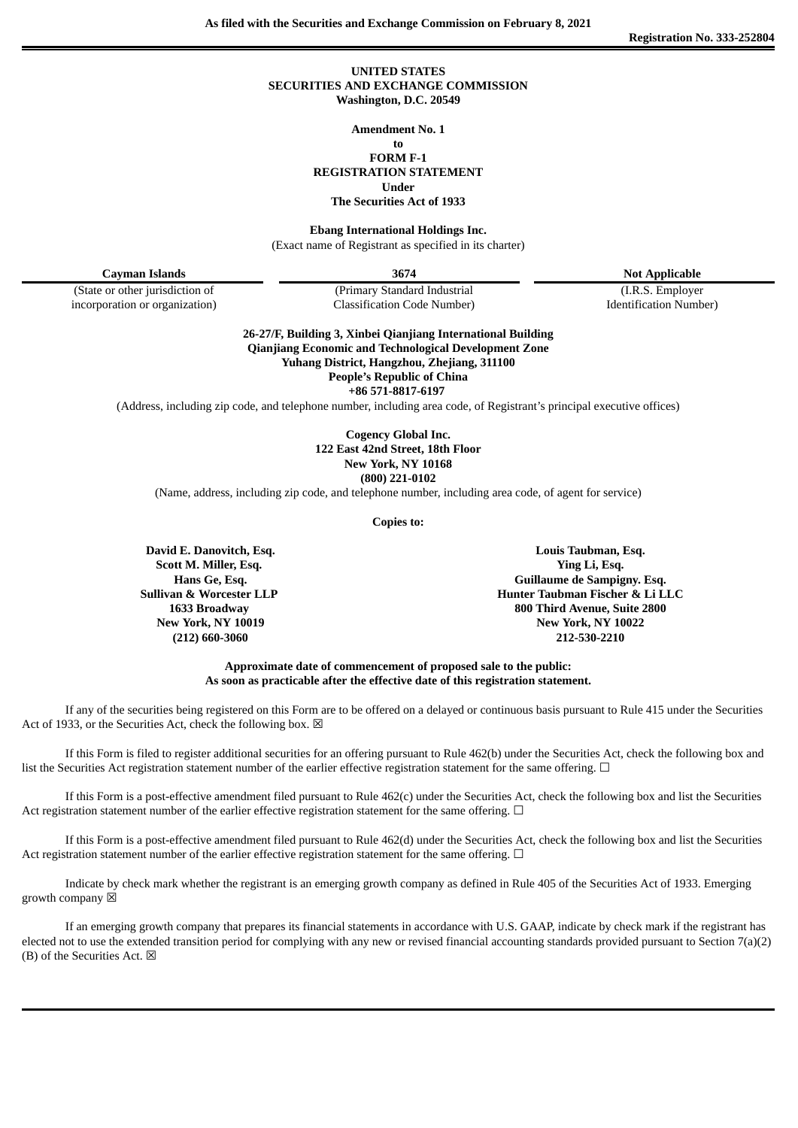**As filed with the Securities and Exchange Commission on February 8, 2021**

**Registration No. 333-252804**

#### **UNITED STATES SECURITIES AND EXCHANGE COMMISSION Washington, D.C. 20549**

**Amendment No. 1**

#### **to FORM F-1**

**REGISTRATION STATEMENT**

**Under**

**The Securities Act of 1933**

**Ebang International Holdings Inc.**

(Exact name of Registrant as specified in its charter)

**Cayman Islands 3674 Not Applicable**

incorporation or organization) Classification Code Number) Identification Number)

(State or other jurisdiction of (Primary Standard Industrial (I.R.S. Employer

**26-27/F, Building 3, Xinbei Qianjiang International Building Qianjiang Economic and Technological Development Zone Yuhang District, Hangzhou, Zhejiang, 311100 People's Republic of China +86 571-8817-6197**

(Address, including zip code, and telephone number, including area code, of Registrant's principal executive offices)

**Cogency Global Inc. 122 East 42nd Street, 18th Floor New York, NY 10168 (800) 221-0102**

(Name, address, including zip code, and telephone number, including area code, of agent for service)

**Copies to:**

**David E. Danovitch, Esq. Scott M. Miller, Esq. Hans Ge, Esq. Sullivan & Worcester LLP 1633 Broadway New York, NY 10019 (212) 660-3060**

**Louis Taubman, Esq. Ying Li, Esq. Guillaume de Sampigny. Esq. Hunter Taubman Fischer & Li LLC 800 Third Avenue, Suite 2800 New York, NY 10022 212-530-2210**

**Approximate date of commencement of proposed sale to the public: As soon as practicable after the effective date of this registration statement.**

If any of the securities being registered on this Form are to be offered on a delayed or continuous basis pursuant to Rule 415 under the Securities Act of 1933, or the Securities Act, check the following box.  $\boxtimes$ 

If this Form is filed to register additional securities for an offering pursuant to Rule 462(b) under the Securities Act, check the following box and list the Securities Act registration statement number of the earlier effective registration statement for the same offering.  $\Box$ 

If this Form is a post-effective amendment filed pursuant to Rule 462(c) under the Securities Act, check the following box and list the Securities Act registration statement number of the earlier effective registration statement for the same offering.  $\Box$ 

If this Form is a post-effective amendment filed pursuant to Rule 462(d) under the Securities Act, check the following box and list the Securities Act registration statement number of the earlier effective registration statement for the same offering.  $\Box$ 

Indicate by check mark whether the registrant is an emerging growth company as defined in Rule 405 of the Securities Act of 1933. Emerging growth company  $\boxtimes$ 

If an emerging growth company that prepares its financial statements in accordance with U.S. GAAP, indicate by check mark if the registrant has elected not to use the extended transition period for complying with any new or revised financial accounting standards provided pursuant to Section 7(a)(2) (B) of the Securities Act.  $\boxtimes$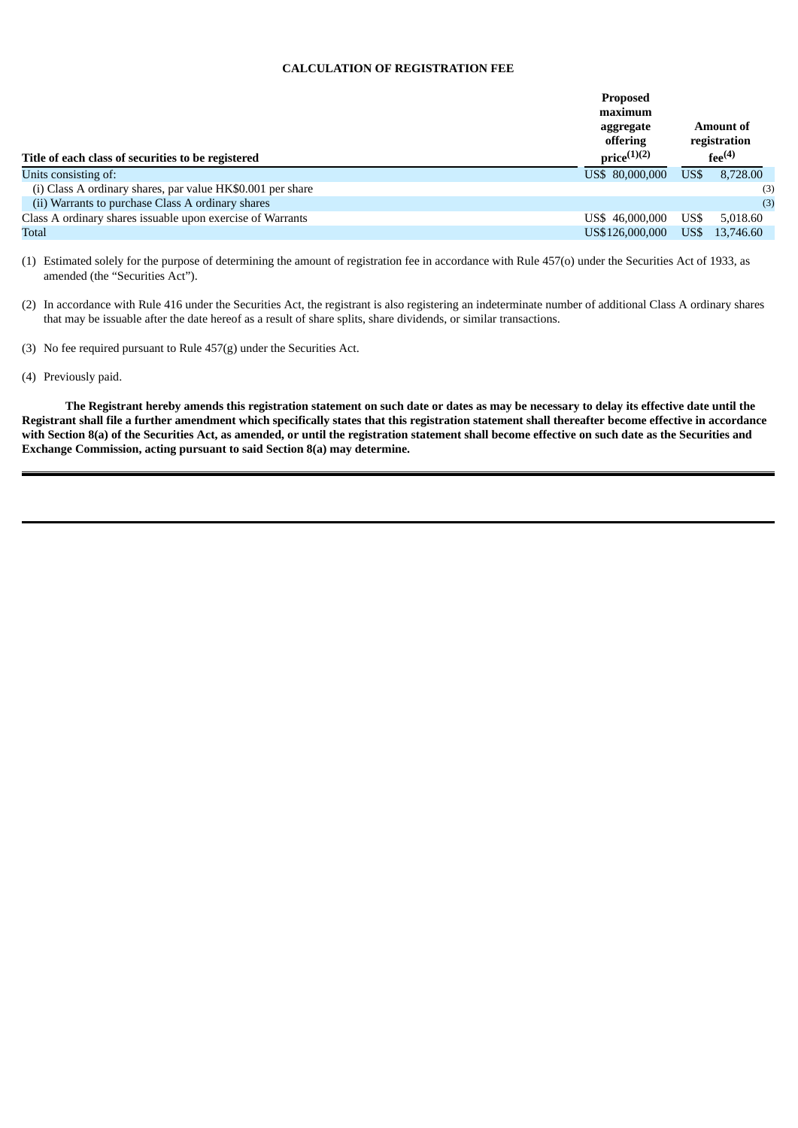#### **CALCULATION OF REGISTRATION FEE**

|                                                            | <b>Proposed</b><br>maximum<br>aggregate<br>offering |      | <b>Amount of</b><br>registration<br>$f_{\mathbf{P}}(4)$ |  |
|------------------------------------------------------------|-----------------------------------------------------|------|---------------------------------------------------------|--|
| Title of each class of securities to be registered         | $price^{(1)(2)}$                                    |      |                                                         |  |
| Units consisting of:                                       | US\$ 80,000,000                                     | US\$ | 8,728,00                                                |  |
| (i) Class A ordinary shares, par value HK\$0.001 per share |                                                     |      | (3)                                                     |  |
| (ii) Warrants to purchase Class A ordinary shares          |                                                     |      | (3)                                                     |  |
| Class A ordinary shares issuable upon exercise of Warrants | US\$ 46,000,000                                     | US\$ | 5,018.60                                                |  |
| Total                                                      | US\$126,000,000                                     | US\$ | 13.746.60                                               |  |

(1) Estimated solely for the purpose of determining the amount of registration fee in accordance with Rule 457(o) under the Securities Act of 1933, as amended (the "Securities Act").

(2) In accordance with Rule 416 under the Securities Act, the registrant is also registering an indeterminate number of additional Class A ordinary shares that may be issuable after the date hereof as a result of share splits, share dividends, or similar transactions.

(3) No fee required pursuant to Rule 457(g) under the Securities Act.

(4) Previously paid.

The Registrant hereby amends this registration statement on such date or dates as may be necessary to delay its effective date until the Registrant shall file a further amendment which specifically states that this registration statement shall thereafter become effective in accordance with Section 8(a) of the Securities Act, as amended, or until the registration statement shall become effective on such date as the Securities and **Exchange Commission, acting pursuant to said Section 8(a) may determine.**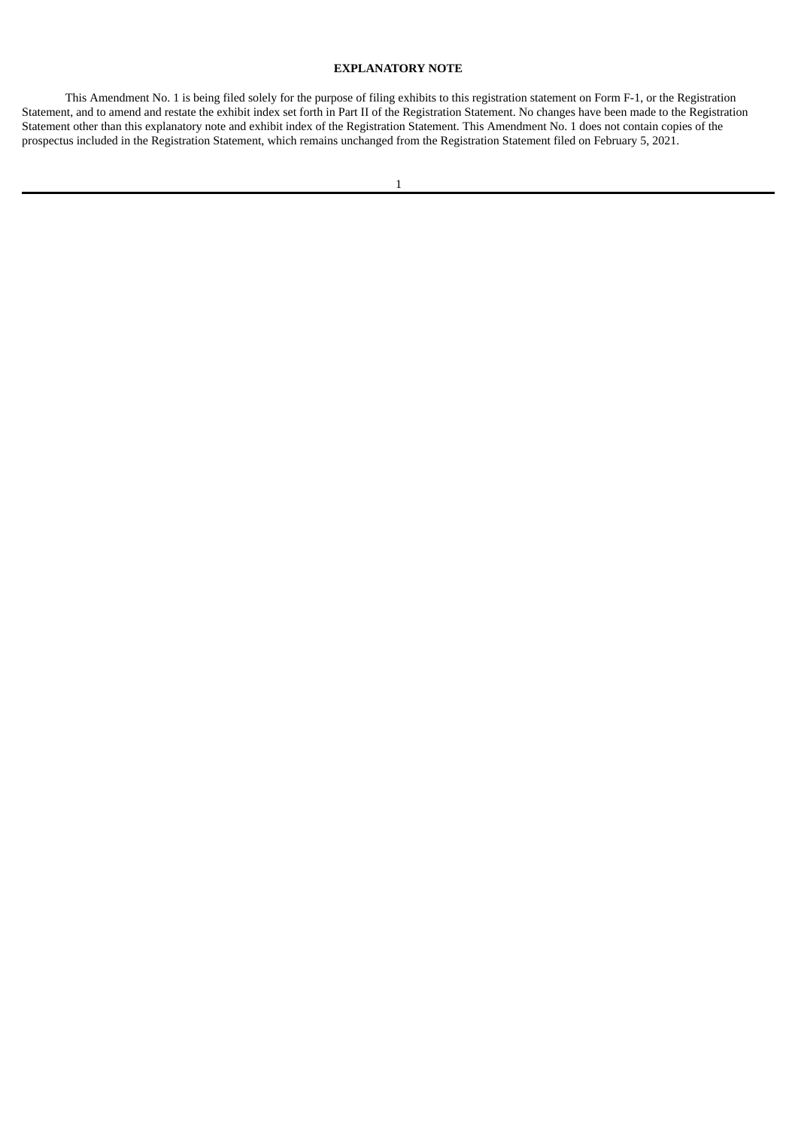#### **EXPLANATORY NOTE**

This Amendment No. 1 is being filed solely for the purpose of filing exhibits to this registration statement on Form F-1, or the Registration Statement, and to amend and restate the exhibit index set forth in Part II of the Registration Statement. No changes have been made to the Registration Statement other than this explanatory note and exhibit index of the Registration Statement. This Amendment No. 1 does not contain copies of the prospectus included in the Registration Statement, which remains unchanged from the Registration Statement filed on February 5, 2021.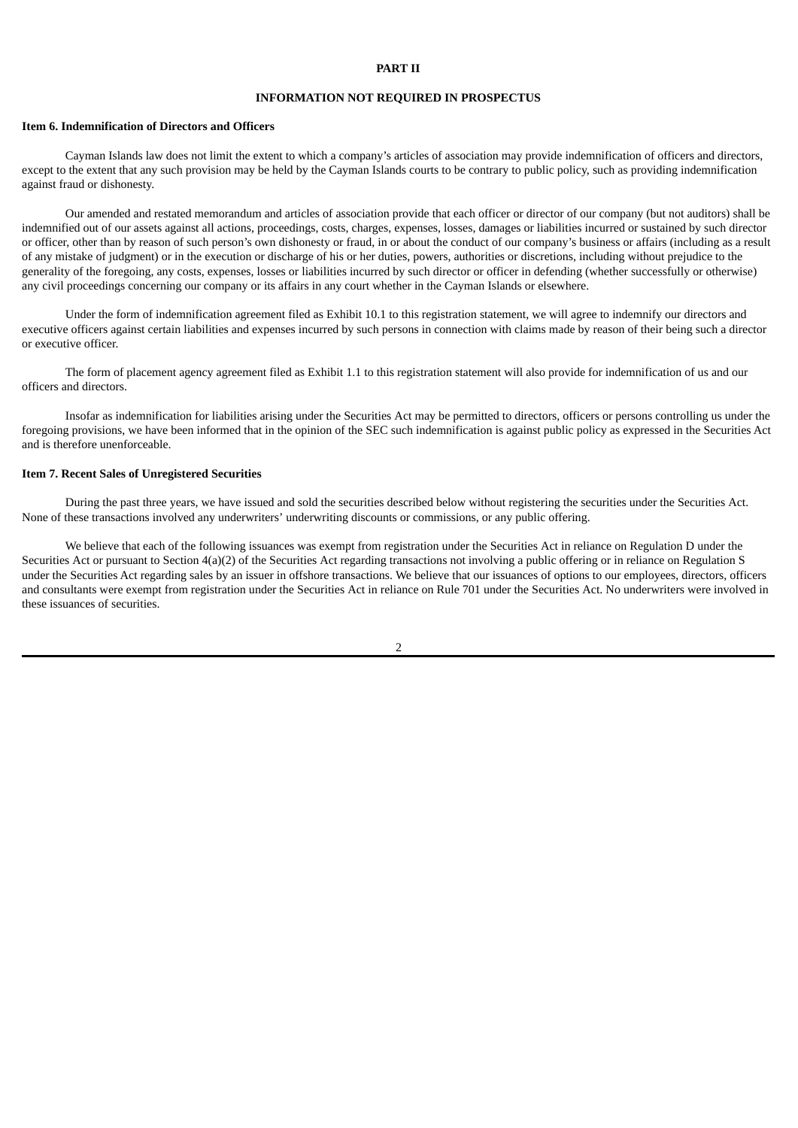#### **PART II**

#### **INFORMATION NOT REQUIRED IN PROSPECTUS**

#### **Item 6. Indemnification of Directors and Officers**

Cayman Islands law does not limit the extent to which a company's articles of association may provide indemnification of officers and directors, except to the extent that any such provision may be held by the Cayman Islands courts to be contrary to public policy, such as providing indemnification against fraud or dishonesty.

Our amended and restated memorandum and articles of association provide that each officer or director of our company (but not auditors) shall be indemnified out of our assets against all actions, proceedings, costs, charges, expenses, losses, damages or liabilities incurred or sustained by such director or officer, other than by reason of such person's own dishonesty or fraud, in or about the conduct of our company's business or affairs (including as a result of any mistake of judgment) or in the execution or discharge of his or her duties, powers, authorities or discretions, including without prejudice to the generality of the foregoing, any costs, expenses, losses or liabilities incurred by such director or officer in defending (whether successfully or otherwise) any civil proceedings concerning our company or its affairs in any court whether in the Cayman Islands or elsewhere.

Under the form of indemnification agreement filed as Exhibit 10.1 to this registration statement, we will agree to indemnify our directors and executive officers against certain liabilities and expenses incurred by such persons in connection with claims made by reason of their being such a director or executive officer.

The form of placement agency agreement filed as Exhibit 1.1 to this registration statement will also provide for indemnification of us and our officers and directors.

Insofar as indemnification for liabilities arising under the Securities Act may be permitted to directors, officers or persons controlling us under the foregoing provisions, we have been informed that in the opinion of the SEC such indemnification is against public policy as expressed in the Securities Act and is therefore unenforceable.

#### **Item 7. Recent Sales of Unregistered Securities**

During the past three years, we have issued and sold the securities described below without registering the securities under the Securities Act. None of these transactions involved any underwriters' underwriting discounts or commissions, or any public offering.

We believe that each of the following issuances was exempt from registration under the Securities Act in reliance on Regulation D under the Securities Act or pursuant to Section 4(a)(2) of the Securities Act regarding transactions not involving a public offering or in reliance on Regulation S under the Securities Act regarding sales by an issuer in offshore transactions. We believe that our issuances of options to our employees, directors, officers and consultants were exempt from registration under the Securities Act in reliance on Rule 701 under the Securities Act. No underwriters were involved in these issuances of securities.

2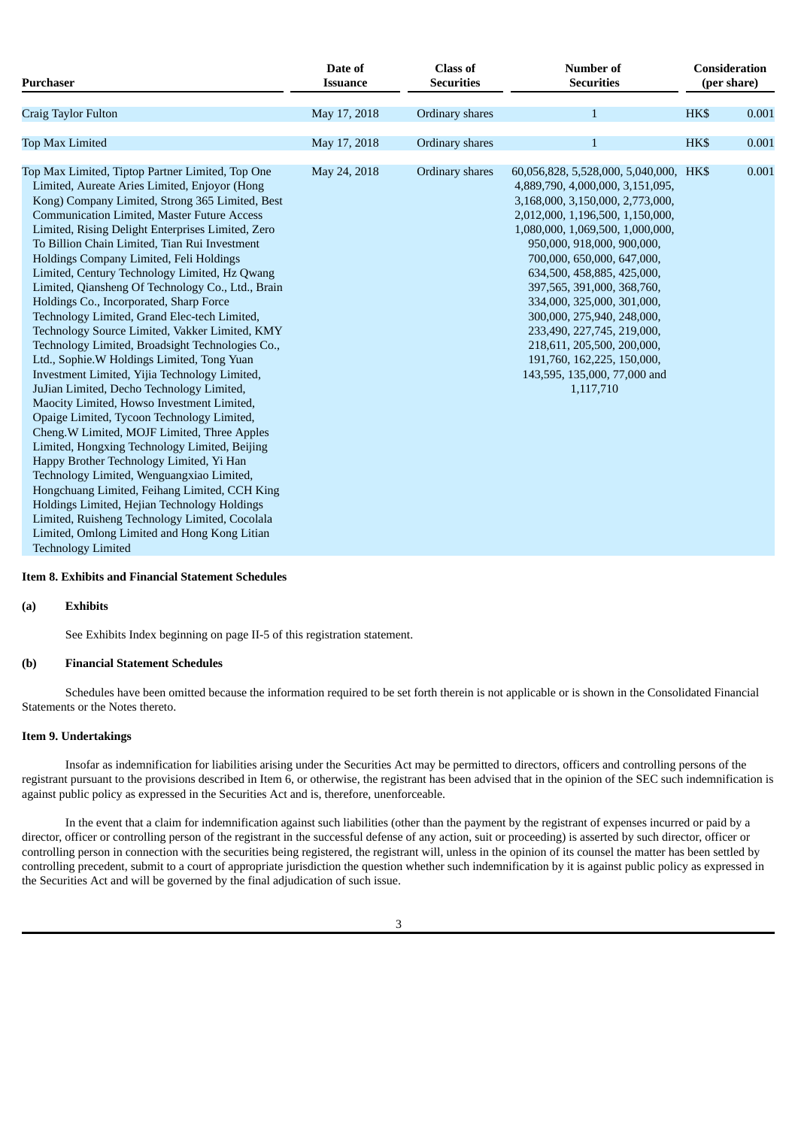| Purchaser                                                                                                                                                                                                                                                                                                                                                                                                                                                                                                                                                                                                                                                                                                                                                                                                                                                                                                                                                                                                                                                                                                                                                                                                                                                                                                                            | Date of<br><b>Issuance</b> | <b>Class of</b><br><b>Securities</b> | Number of<br><b>Securities</b>                                                                                                                                                                                                                                                                                                                                                                                                                                                                                    |      | Consideration<br>(per share) |
|--------------------------------------------------------------------------------------------------------------------------------------------------------------------------------------------------------------------------------------------------------------------------------------------------------------------------------------------------------------------------------------------------------------------------------------------------------------------------------------------------------------------------------------------------------------------------------------------------------------------------------------------------------------------------------------------------------------------------------------------------------------------------------------------------------------------------------------------------------------------------------------------------------------------------------------------------------------------------------------------------------------------------------------------------------------------------------------------------------------------------------------------------------------------------------------------------------------------------------------------------------------------------------------------------------------------------------------|----------------------------|--------------------------------------|-------------------------------------------------------------------------------------------------------------------------------------------------------------------------------------------------------------------------------------------------------------------------------------------------------------------------------------------------------------------------------------------------------------------------------------------------------------------------------------------------------------------|------|------------------------------|
| Craig Taylor Fulton                                                                                                                                                                                                                                                                                                                                                                                                                                                                                                                                                                                                                                                                                                                                                                                                                                                                                                                                                                                                                                                                                                                                                                                                                                                                                                                  | May 17, 2018               | Ordinary shares                      | $\mathbf{1}$                                                                                                                                                                                                                                                                                                                                                                                                                                                                                                      | HK\$ | 0.001                        |
| <b>Top Max Limited</b>                                                                                                                                                                                                                                                                                                                                                                                                                                                                                                                                                                                                                                                                                                                                                                                                                                                                                                                                                                                                                                                                                                                                                                                                                                                                                                               | May 17, 2018               | Ordinary shares                      | $\mathbf{1}$                                                                                                                                                                                                                                                                                                                                                                                                                                                                                                      | HK\$ | 0.001                        |
| Top Max Limited, Tiptop Partner Limited, Top One<br>Limited, Aureate Aries Limited, Enjoyor (Hong<br>Kong) Company Limited, Strong 365 Limited, Best<br><b>Communication Limited, Master Future Access</b><br>Limited, Rising Delight Enterprises Limited, Zero<br>To Billion Chain Limited, Tian Rui Investment<br>Holdings Company Limited, Feli Holdings<br>Limited, Century Technology Limited, Hz Qwang<br>Limited, Qiansheng Of Technology Co., Ltd., Brain<br>Holdings Co., Incorporated, Sharp Force<br>Technology Limited, Grand Elec-tech Limited,<br>Technology Source Limited, Vakker Limited, KMY<br>Technology Limited, Broadsight Technologies Co.,<br>Ltd., Sophie.W Holdings Limited, Tong Yuan<br>Investment Limited, Yijia Technology Limited,<br>JuJian Limited, Decho Technology Limited,<br>Maocity Limited, Howso Investment Limited,<br>Opaige Limited, Tycoon Technology Limited,<br>Cheng. W Limited, MOJF Limited, Three Apples<br>Limited, Hongxing Technology Limited, Beijing<br>Happy Brother Technology Limited, Yi Han<br>Technology Limited, Wenguangxiao Limited,<br>Hongchuang Limited, Feihang Limited, CCH King<br>Holdings Limited, Hejian Technology Holdings<br>Limited, Ruisheng Technology Limited, Cocolala<br>Limited, Omlong Limited and Hong Kong Litian<br><b>Technology Limited</b> | May 24, 2018               | Ordinary shares                      | 60,056,828, 5,528,000, 5,040,000, HK\$<br>4,889,790, 4,000,000, 3,151,095,<br>3,168,000, 3,150,000, 2,773,000,<br>2,012,000, 1,196,500, 1,150,000,<br>1,080,000, 1,069,500, 1,000,000,<br>950,000, 918,000, 900,000,<br>700,000, 650,000, 647,000,<br>634,500, 458,885, 425,000,<br>397,565, 391,000, 368,760,<br>334,000, 325,000, 301,000,<br>300,000, 275,940, 248,000,<br>233,490, 227,745, 219,000,<br>218,611, 205,500, 200,000,<br>191,760, 162,225, 150,000,<br>143,595, 135,000, 77,000 and<br>1,117,710 |      | 0.001                        |

**Item 8. Exhibits and Financial Statement Schedules**

#### **(a) Exhibits**

See Exhibits Index beginning on page II-5 of this registration statement.

#### **(b) Financial Statement Schedules**

Schedules have been omitted because the information required to be set forth therein is not applicable or is shown in the Consolidated Financial Statements or the Notes thereto.

#### **Item 9. Undertakings**

Insofar as indemnification for liabilities arising under the Securities Act may be permitted to directors, officers and controlling persons of the registrant pursuant to the provisions described in Item 6, or otherwise, the registrant has been advised that in the opinion of the SEC such indemnification is against public policy as expressed in the Securities Act and is, therefore, unenforceable.

In the event that a claim for indemnification against such liabilities (other than the payment by the registrant of expenses incurred or paid by a director, officer or controlling person of the registrant in the successful defense of any action, suit or proceeding) is asserted by such director, officer or controlling person in connection with the securities being registered, the registrant will, unless in the opinion of its counsel the matter has been settled by controlling precedent, submit to a court of appropriate jurisdiction the question whether such indemnification by it is against public policy as expressed in the Securities Act and will be governed by the final adjudication of such issue.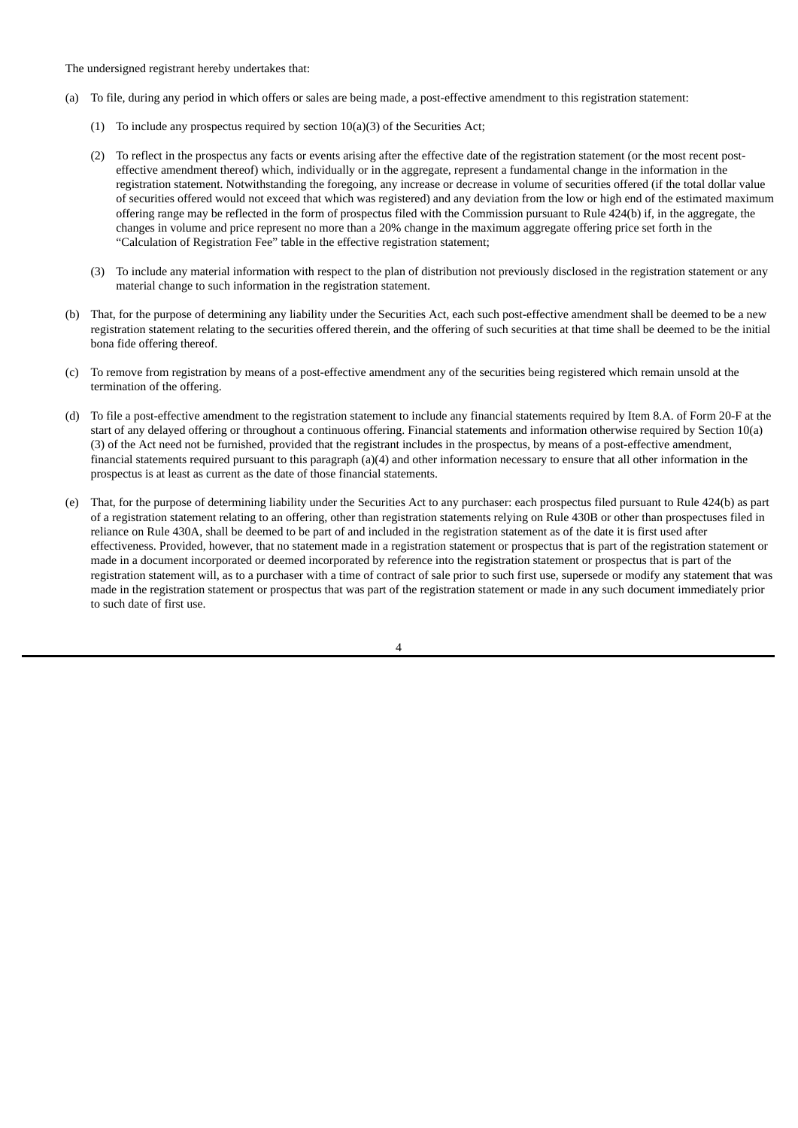The undersigned registrant hereby undertakes that:

- (a) To file, during any period in which offers or sales are being made, a post-effective amendment to this registration statement:
	- (1) To include any prospectus required by section 10(a)(3) of the Securities Act;
	- (2) To reflect in the prospectus any facts or events arising after the effective date of the registration statement (or the most recent posteffective amendment thereof) which, individually or in the aggregate, represent a fundamental change in the information in the registration statement. Notwithstanding the foregoing, any increase or decrease in volume of securities offered (if the total dollar value of securities offered would not exceed that which was registered) and any deviation from the low or high end of the estimated maximum offering range may be reflected in the form of prospectus filed with the Commission pursuant to Rule 424(b) if, in the aggregate, the changes in volume and price represent no more than a 20% change in the maximum aggregate offering price set forth in the "Calculation of Registration Fee" table in the effective registration statement;
	- (3) To include any material information with respect to the plan of distribution not previously disclosed in the registration statement or any material change to such information in the registration statement.
- (b) That, for the purpose of determining any liability under the Securities Act, each such post-effective amendment shall be deemed to be a new registration statement relating to the securities offered therein, and the offering of such securities at that time shall be deemed to be the initial bona fide offering thereof.
- (c) To remove from registration by means of a post-effective amendment any of the securities being registered which remain unsold at the termination of the offering.
- (d) To file a post-effective amendment to the registration statement to include any financial statements required by Item 8.A. of Form 20-F at the start of any delayed offering or throughout a continuous offering. Financial statements and information otherwise required by Section 10(a) (3) of the Act need not be furnished, provided that the registrant includes in the prospectus, by means of a post-effective amendment, financial statements required pursuant to this paragraph (a)(4) and other information necessary to ensure that all other information in the prospectus is at least as current as the date of those financial statements.
- (e) That, for the purpose of determining liability under the Securities Act to any purchaser: each prospectus filed pursuant to Rule 424(b) as part of a registration statement relating to an offering, other than registration statements relying on Rule 430B or other than prospectuses filed in reliance on Rule 430A, shall be deemed to be part of and included in the registration statement as of the date it is first used after effectiveness. Provided, however, that no statement made in a registration statement or prospectus that is part of the registration statement or made in a document incorporated or deemed incorporated by reference into the registration statement or prospectus that is part of the registration statement will, as to a purchaser with a time of contract of sale prior to such first use, supersede or modify any statement that was made in the registration statement or prospectus that was part of the registration statement or made in any such document immediately prior to such date of first use.

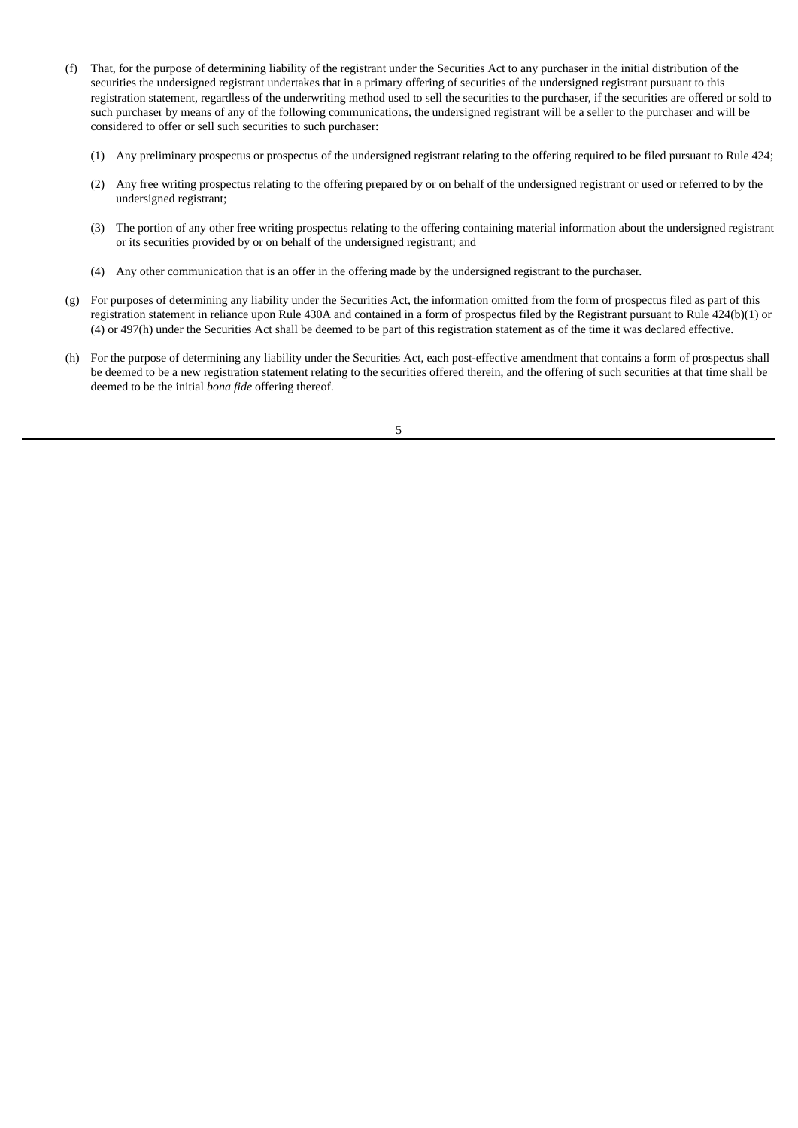- (f) That, for the purpose of determining liability of the registrant under the Securities Act to any purchaser in the initial distribution of the securities the undersigned registrant undertakes that in a primary offering of securities of the undersigned registrant pursuant to this registration statement, regardless of the underwriting method used to sell the securities to the purchaser, if the securities are offered or sold to such purchaser by means of any of the following communications, the undersigned registrant will be a seller to the purchaser and will be considered to offer or sell such securities to such purchaser:
	- (1) Any preliminary prospectus or prospectus of the undersigned registrant relating to the offering required to be filed pursuant to Rule 424;
	- (2) Any free writing prospectus relating to the offering prepared by or on behalf of the undersigned registrant or used or referred to by the undersigned registrant;
	- (3) The portion of any other free writing prospectus relating to the offering containing material information about the undersigned registrant or its securities provided by or on behalf of the undersigned registrant; and
	- (4) Any other communication that is an offer in the offering made by the undersigned registrant to the purchaser.
- (g) For purposes of determining any liability under the Securities Act, the information omitted from the form of prospectus filed as part of this registration statement in reliance upon Rule 430A and contained in a form of prospectus filed by the Registrant pursuant to Rule 424(b)(1) or (4) or 497(h) under the Securities Act shall be deemed to be part of this registration statement as of the time it was declared effective.
- (h) For the purpose of determining any liability under the Securities Act, each post-effective amendment that contains a form of prospectus shall be deemed to be a new registration statement relating to the securities offered therein, and the offering of such securities at that time shall be deemed to be the initial *bona fide* offering thereof.

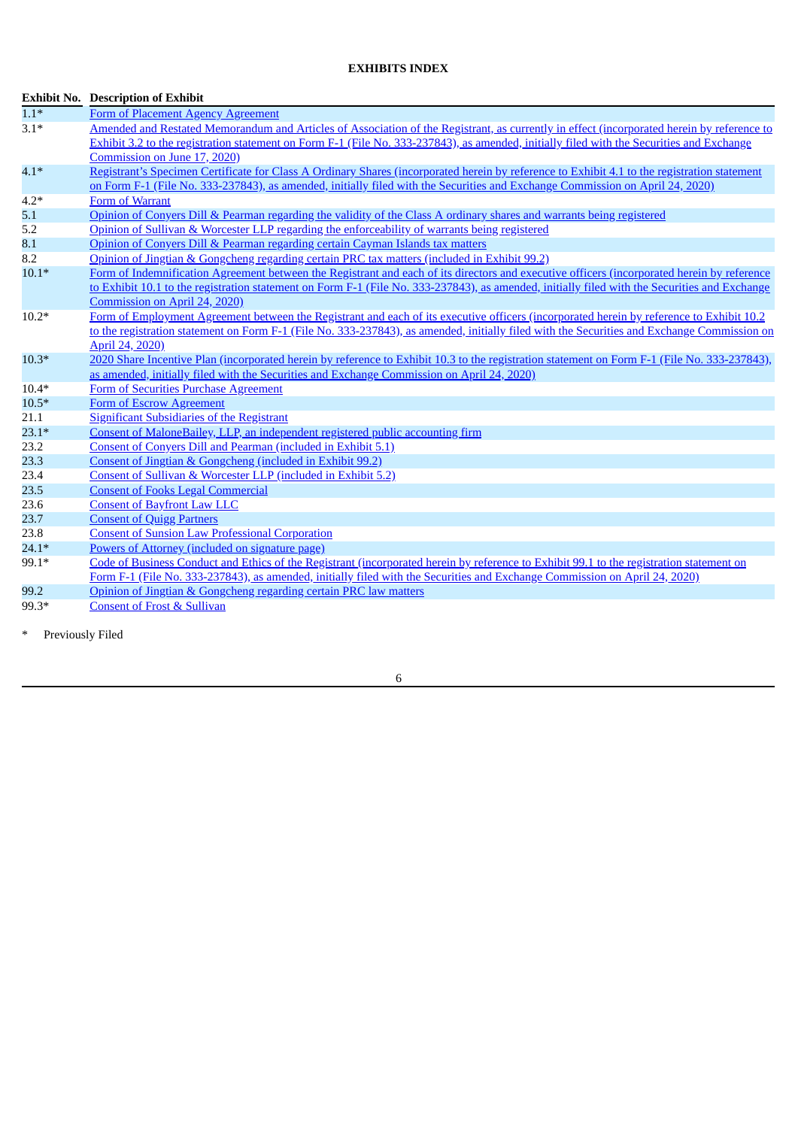#### **EXHIBITS INDEX**

#### **Exhibit No. Description of Exhibit**

| $1.1*$  | Form of Placement Agency Agreement                                                                                                            |
|---------|-----------------------------------------------------------------------------------------------------------------------------------------------|
| $3.1*$  | Amended and Restated Memorandum and Articles of Association of the Registrant, as currently in effect (incorporated herein by reference to    |
|         | Exhibit 3.2 to the registration statement on Form F-1 (File No. 333-237843), as amended, initially filed with the Securities and Exchange     |
|         | Commission on June 17, 2020)                                                                                                                  |
| $4.1*$  | Registrant's Specimen Certificate for Class A Ordinary Shares (incorporated herein by reference to Exhibit 4.1 to the registration statement  |
|         | on Form F-1 (File No. 333-237843), as amended, initially filed with the Securities and Exchange Commission on April 24, 2020)                 |
| $4.2*$  | Form of Warrant                                                                                                                               |
| 5.1     | Opinion of Conyers Dill & Pearman regarding the validity of the Class A ordinary shares and warrants being registered                         |
| 5.2     | Opinion of Sullivan & Worcester LLP regarding the enforceability of warrants being registered                                                 |
| 8.1     | Opinion of Conyers Dill & Pearman regarding certain Cayman Islands tax matters                                                                |
| 8.2     | Opinion of Jingtian & Gongcheng regarding certain PRC tax matters (included in Exhibit 99.2)                                                  |
| $10.1*$ | Form of Indemnification Agreement between the Registrant and each of its directors and executive officers (incorporated herein by reference   |
|         | to Exhibit 10.1 to the registration statement on Form F-1 (File No. 333-237843), as amended, initially filed with the Securities and Exchange |
|         | Commission on April 24, 2020)                                                                                                                 |
| $10.2*$ | Form of Employment Agreement between the Registrant and each of its executive officers (incorporated herein by reference to Exhibit 10.2)     |
|         | to the registration statement on Form F-1 (File No. 333-237843), as amended, initially filed with the Securities and Exchange Commission on   |
|         | April 24, 2020)                                                                                                                               |
| $10.3*$ | 2020 Share Incentive Plan (incorporated herein by reference to Exhibit 10.3 to the registration statement on Form F-1 (File No. 333-237843),  |
|         | as amended, initially filed with the Securities and Exchange Commission on April 24, 2020)                                                    |
| $10.4*$ | Form of Securities Purchase Agreement                                                                                                         |
| $10.5*$ | Form of Escrow Agreement                                                                                                                      |
| 21.1    | <b>Significant Subsidiaries of the Registrant</b>                                                                                             |
| $23.1*$ | Consent of MaloneBailey, LLP, an independent registered public accounting firm                                                                |
| 23.2    | Consent of Conyers Dill and Pearman (included in Exhibit 5.1)                                                                                 |
| 23.3    | Consent of Jingtian & Gongcheng (included in Exhibit 99.2)                                                                                    |
| 23.4    | Consent of Sullivan & Worcester LLP (included in Exhibit 5.2)                                                                                 |
| 23.5    | <b>Consent of Fooks Legal Commercial</b>                                                                                                      |
| 23.6    | <b>Consent of Bayfront Law LLC</b>                                                                                                            |
| 23.7    | <b>Consent of Quigg Partners</b>                                                                                                              |
| 23.8    | <b>Consent of Sunsion Law Professional Corporation</b>                                                                                        |
| $24.1*$ | Powers of Attorney (included on signature page)                                                                                               |
| 99.1*   | Code of Business Conduct and Ethics of the Registrant (incorporated herein by reference to Exhibit 99.1 to the registration statement on      |
|         | Form F-1 (File No. 333-237843), as amended, initially filed with the Securities and Exchange Commission on April 24, 2020)                    |
| 99.2    | Opinion of Jingtian & Gongcheng regarding certain PRC law matters                                                                             |
| 99.3*   | <b>Consent of Frost &amp; Sullivan</b>                                                                                                        |

\* Previously Filed

6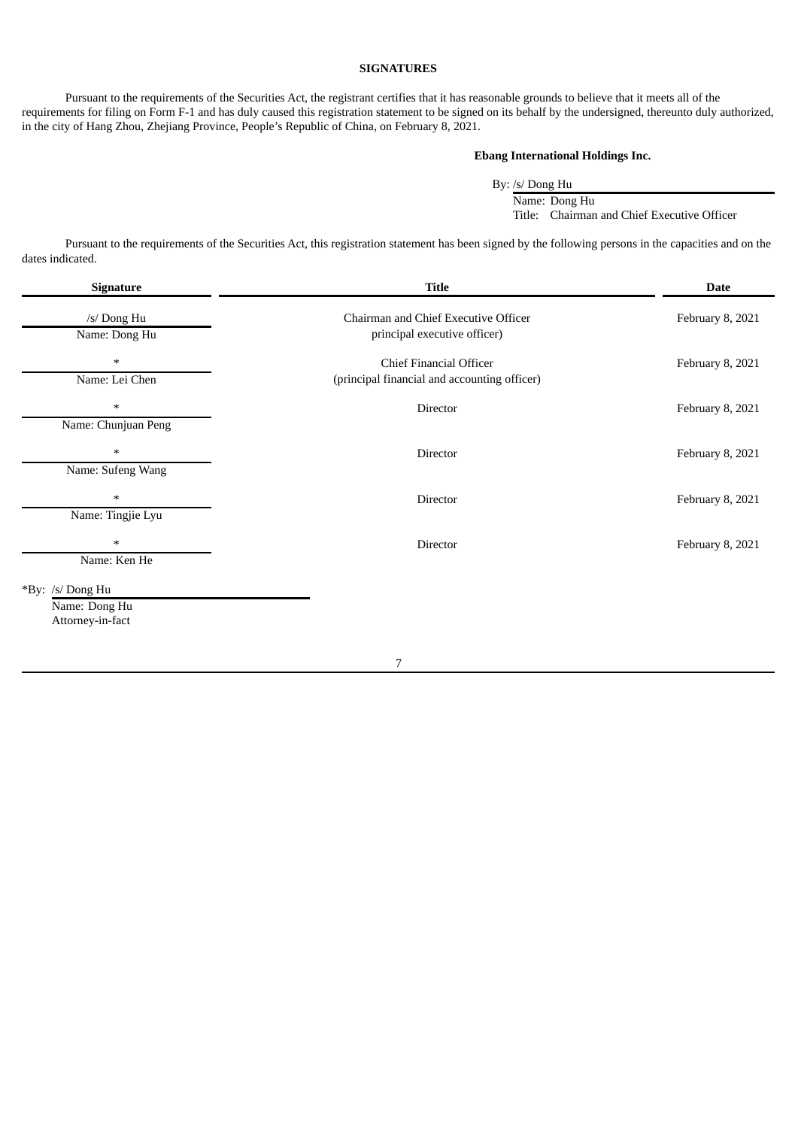#### **SIGNATURES**

Pursuant to the requirements of the Securities Act, the registrant certifies that it has reasonable grounds to believe that it meets all of the requirements for filing on Form F-1 and has duly caused this registration statement to be signed on its behalf by the undersigned, thereunto duly authorized, in the city of Hang Zhou, Zhejiang Province, People's Republic of China, on February 8, 2021.

#### **Ebang International Holdings Inc.**

By: /s/ Dong Hu Name: Dong Hu

Title: Chairman and Chief Executive Officer

Pursuant to the requirements of the Securities Act, this registration statement has been signed by the following persons in the capacities and on the dates indicated.

| Signature                                             | <b>Title</b>                                                            | <b>Date</b>      |
|-------------------------------------------------------|-------------------------------------------------------------------------|------------------|
| /s/ Dong Hu<br>Name: Dong Hu                          | Chairman and Chief Executive Officer<br>principal executive officer)    | February 8, 2021 |
| $\ast$<br>Name: Lei Chen                              | Chief Financial Officer<br>(principal financial and accounting officer) | February 8, 2021 |
| $\ast$<br>Name: Chunjuan Peng                         | Director                                                                | February 8, 2021 |
| $\ast$<br>Name: Sufeng Wang                           | Director                                                                | February 8, 2021 |
| $\ast$<br>Name: Tingjie Lyu                           | Director                                                                | February 8, 2021 |
| $\ast$<br>Name: Ken He                                | Director                                                                | February 8, 2021 |
| *By: /s/ Dong Hu<br>Name: Dong Hu<br>Attorney-in-fact | 7                                                                       |                  |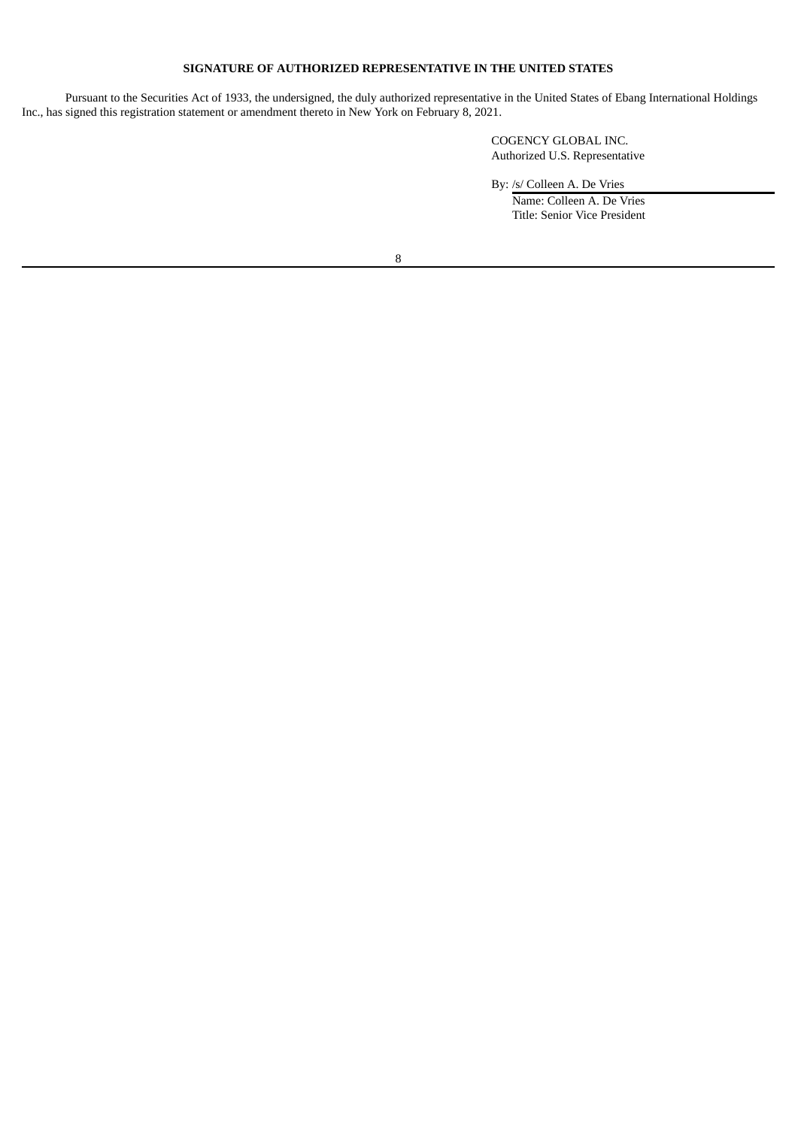#### **SIGNATURE OF AUTHORIZED REPRESENTATIVE IN THE UNITED STATES**

Pursuant to the Securities Act of 1933, the undersigned, the duly authorized representative in the United States of Ebang International Holdings Inc., has signed this registration statement or amendment thereto in New York on February 8, 2021.

> COGENCY GLOBAL INC. Authorized U.S. Representative

By: /s/ Colleen A. De Vries

Name: Colleen A. De Vries Title: Senior Vice President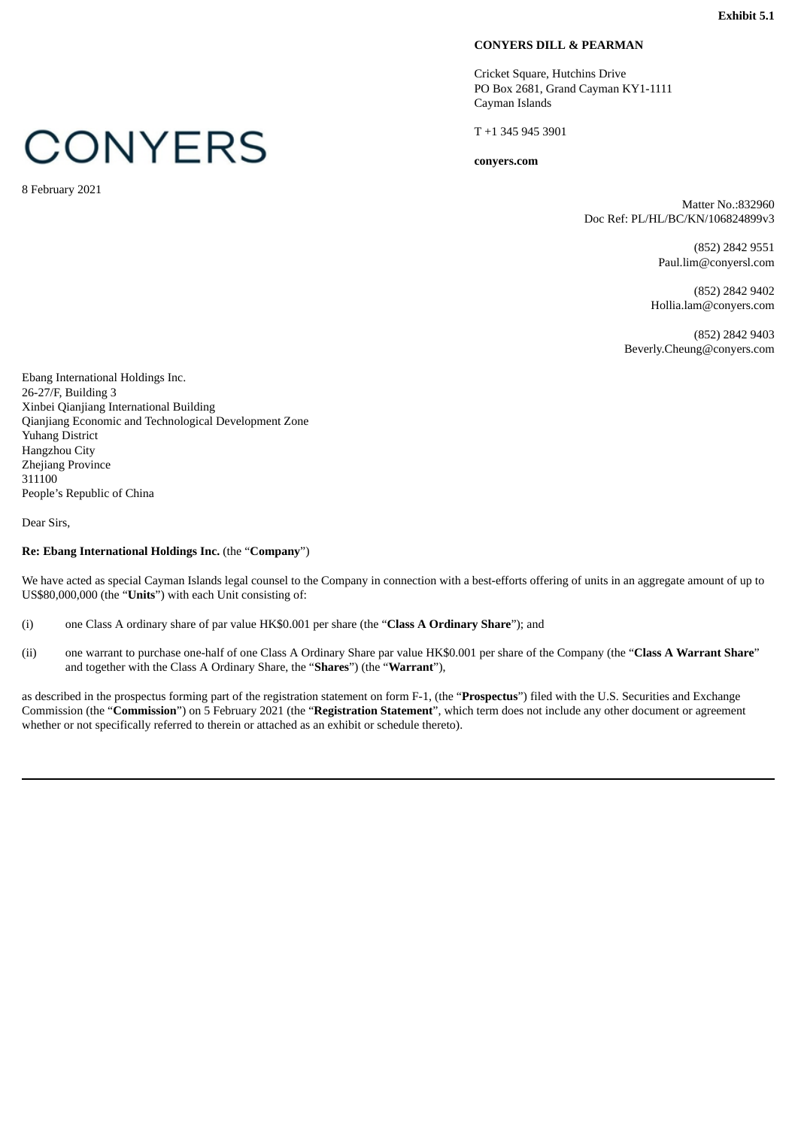#### **CONYERS DILL & PEARMAN**

Cricket Square, Hutchins Drive PO Box 2681, Grand Cayman KY1-1111 Cayman Islands

T +1 345 945 3901

**conyers.com**

Matter No.:832960 Doc Ref: PL/HL/BC/KN/106824899v3

> (852) 2842 9551 Paul.lim@conyersl.com

(852) 2842 9402 Hollia.lam@conyers.com

(852) 2842 9403 Beverly.Cheung@conyers.com

Ebang International Holdings Inc. 26-27/F, Building 3 Xinbei Qianjiang International Building Qianjiang Economic and Technological Development Zone Yuhang District Hangzhou City Zhejiang Province 311100 People's Republic of China

Dear Sirs,

#### **Re: Ebang International Holdings Inc.** (the "**Company**")

We have acted as special Cayman Islands legal counsel to the Company in connection with a best-efforts offering of units in an aggregate amount of up to US\$80,000,000 (the "**Units**") with each Unit consisting of:

- (i) one Class A ordinary share of par value HK\$0.001 per share (the "**Class A Ordinary Share**"); and
- (ii) one warrant to purchase one-half of one Class A Ordinary Share par value HK\$0.001 per share of the Company (the "**Class A Warrant Share**" and together with the Class A Ordinary Share, the "**Shares**") (the "**Warrant**"),

as described in the prospectus forming part of the registration statement on form F-1, (the "**Prospectus**") filed with the U.S. Securities and Exchange Commission (the "**Commission**") on 5 February 2021 (the "**Registration Statement**", which term does not include any other document or agreement whether or not specifically referred to therein or attached as an exhibit or schedule thereto).

## <span id="page-10-0"></span>**CONYERS**

8 February 2021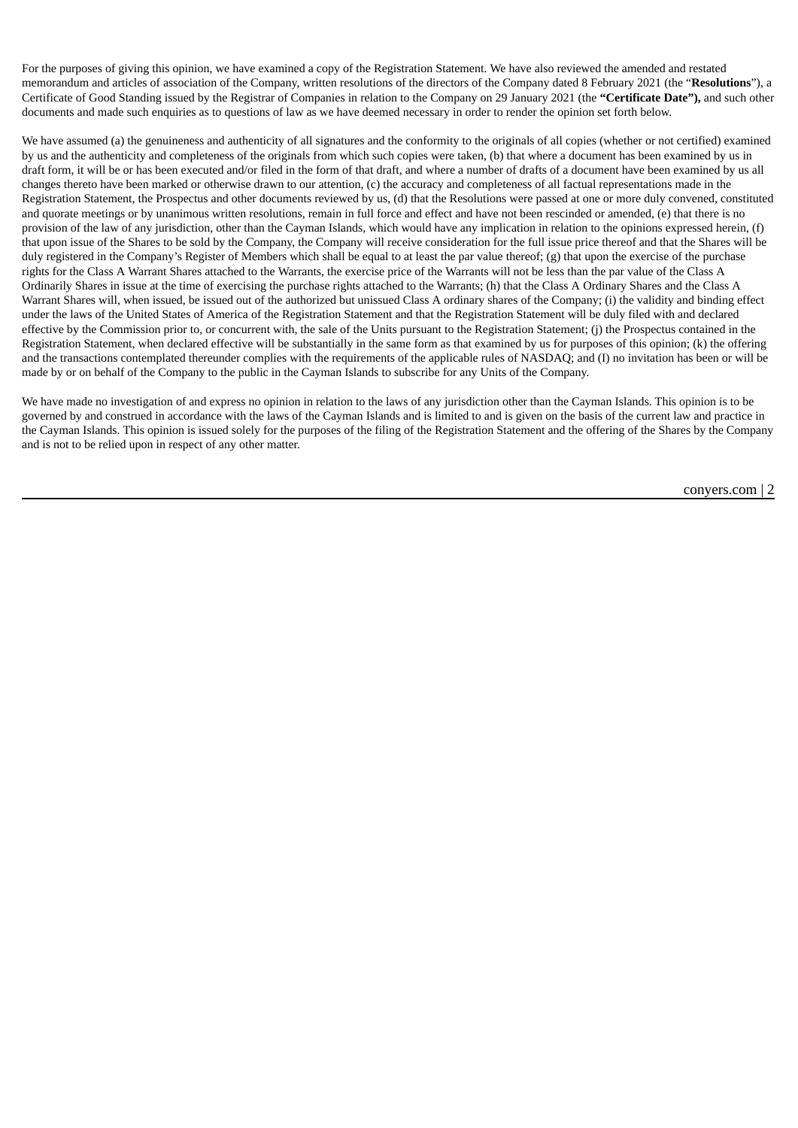For the purposes of giving this opinion, we have examined a copy of the Registration Statement. We have also reviewed the amended and restated memorandum and articles of association of the Company, written resolutions of the directors of the Company dated 8 February 2021 (the "**Resolutions**"), a Certificate of Good Standing issued by the Registrar of Companies in relation to the Company on 29 January 2021 (the **"Certificate Date"),** and such other documents and made such enquiries as to questions of law as we have deemed necessary in order to render the opinion set forth below.

We have assumed (a) the genuineness and authenticity of all signatures and the conformity to the originals of all copies (whether or not certified) examined by us and the authenticity and completeness of the originals from which such copies were taken, (b) that where a document has been examined by us in draft form, it will be or has been executed and/or filed in the form of that draft, and where a number of drafts of a document have been examined by us all changes thereto have been marked or otherwise drawn to our attention, (c) the accuracy and completeness of all factual representations made in the Registration Statement, the Prospectus and other documents reviewed by us, (d) that the Resolutions were passed at one or more duly convened, constituted and quorate meetings or by unanimous written resolutions, remain in full force and effect and have not been rescinded or amended, (e) that there is no provision of the law of any jurisdiction, other than the Cayman Islands, which would have any implication in relation to the opinions expressed herein, (f) that upon issue of the Shares to be sold by the Company, the Company will receive consideration for the full issue price thereof and that the Shares will be duly registered in the Company's Register of Members which shall be equal to at least the par value thereof; (g) that upon the exercise of the purchase rights for the Class A Warrant Shares attached to the Warrants, the exercise price of the Warrants will not be less than the par value of the Class A Ordinarily Shares in issue at the time of exercising the purchase rights attached to the Warrants; (h) that the Class A Ordinary Shares and the Class A Warrant Shares will, when issued, be issued out of the authorized but unissued Class A ordinary shares of the Company; (i) the validity and binding effect under the laws of the United States of America of the Registration Statement and that the Registration Statement will be duly filed with and declared effective by the Commission prior to, or concurrent with, the sale of the Units pursuant to the Registration Statement; (j) the Prospectus contained in the Registration Statement, when declared effective will be substantially in the same form as that examined by us for purposes of this opinion; (k) the offering and the transactions contemplated thereunder complies with the requirements of the applicable rules of NASDAQ; and (I) no invitation has been or will be made by or on behalf of the Company to the public in the Cayman Islands to subscribe for any Units of the Company.

We have made no investigation of and express no opinion in relation to the laws of any jurisdiction other than the Cayman Islands. This opinion is to be governed by and construed in accordance with the laws of the Cayman Islands and is limited to and is given on the basis of the current law and practice in the Cayman Islands. This opinion is issued solely for the purposes of the filing of the Registration Statement and the offering of the Shares by the Company and is not to be relied upon in respect of any other matter.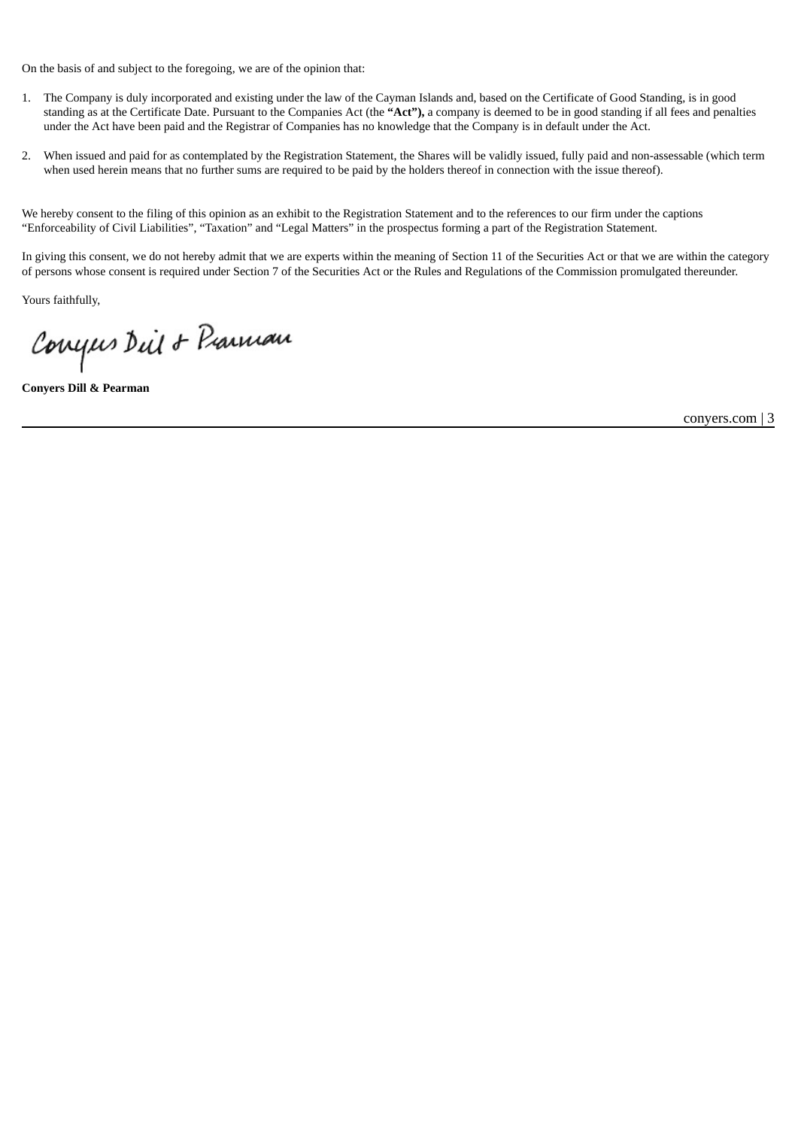On the basis of and subject to the foregoing, we are of the opinion that:

- 1. The Company is duly incorporated and existing under the law of the Cayman Islands and, based on the Certificate of Good Standing, is in good standing as at the Certificate Date. Pursuant to the Companies Act (the **"Act"),** a company is deemed to be in good standing if all fees and penalties under the Act have been paid and the Registrar of Companies has no knowledge that the Company is in default under the Act.
- 2. When issued and paid for as contemplated by the Registration Statement, the Shares will be validly issued, fully paid and non-assessable (which term when used herein means that no further sums are required to be paid by the holders thereof in connection with the issue thereof).

We hereby consent to the filing of this opinion as an exhibit to the Registration Statement and to the references to our firm under the captions "Enforceability of Civil Liabilities", "Taxation" and "Legal Matters" in the prospectus forming a part of the Registration Statement.

In giving this consent, we do not hereby admit that we are experts within the meaning of Section 11 of the Securities Act or that we are within the category of persons whose consent is required under Section 7 of the Securities Act or the Rules and Regulations of the Commission promulgated thereunder.

Yours faithfully,

Conques Dil & Prairian

**Conyers Dill & Pearman**

conyers.com | 3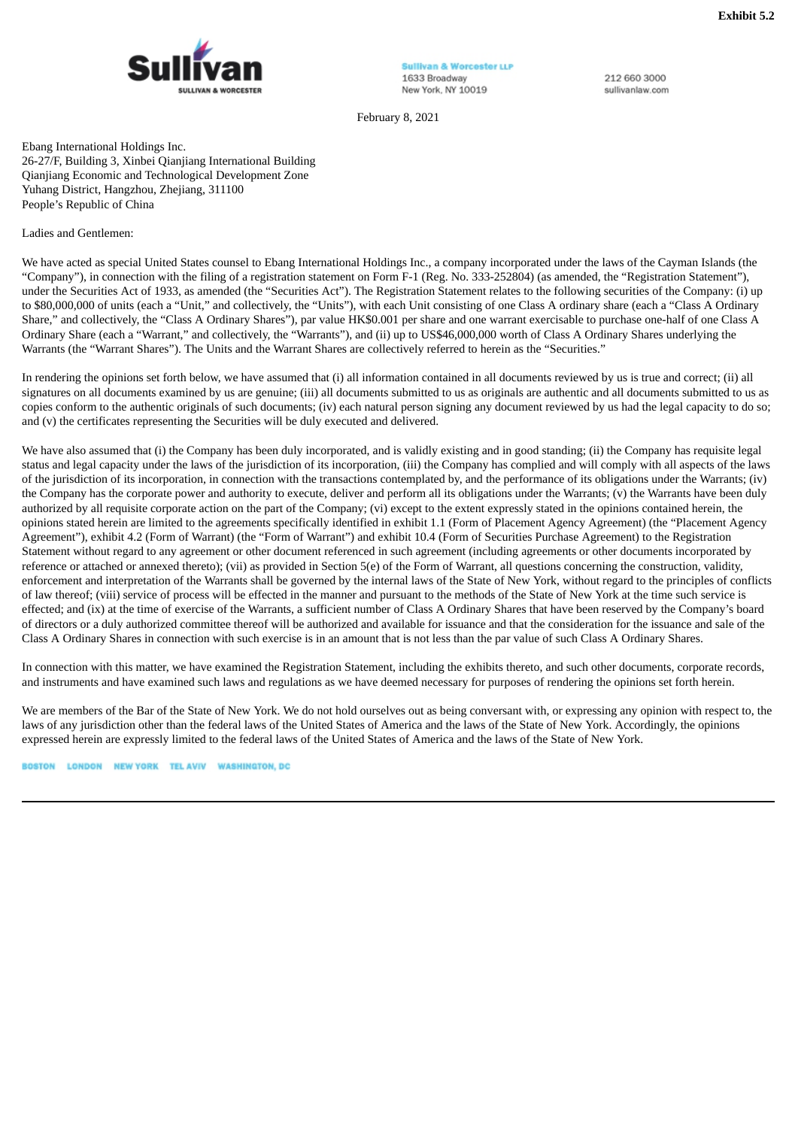<span id="page-13-0"></span>

**Sullivan & Worcester LLP** 1633 Broadway New York, NY 10019

212 660 3000 sullivanlaw.com

February 8, 2021

Ebang International Holdings Inc. 26-27/F, Building 3, Xinbei Qianjiang International Building Qianjiang Economic and Technological Development Zone Yuhang District, Hangzhou, Zhejiang, 311100 People's Republic of China

#### Ladies and Gentlemen:

We have acted as special United States counsel to Ebang International Holdings Inc., a company incorporated under the laws of the Cayman Islands (the "Company"), in connection with the filing of a registration statement on Form F-1 (Reg. No. 333-252804) (as amended, the "Registration Statement"), under the Securities Act of 1933, as amended (the "Securities Act"). The Registration Statement relates to the following securities of the Company: (i) up to \$80,000,000 of units (each a "Unit," and collectively, the "Units"), with each Unit consisting of one Class A ordinary share (each a "Class A Ordinary Share," and collectively, the "Class A Ordinary Shares"), par value HK\$0.001 per share and one warrant exercisable to purchase one-half of one Class A Ordinary Share (each a "Warrant," and collectively, the "Warrants"), and (ii) up to US\$46,000,000 worth of Class A Ordinary Shares underlying the Warrants (the "Warrant Shares"). The Units and the Warrant Shares are collectively referred to herein as the "Securities."

In rendering the opinions set forth below, we have assumed that (i) all information contained in all documents reviewed by us is true and correct; (ii) all signatures on all documents examined by us are genuine; (iii) all documents submitted to us as originals are authentic and all documents submitted to us as copies conform to the authentic originals of such documents; (iv) each natural person signing any document reviewed by us had the legal capacity to do so; and (v) the certificates representing the Securities will be duly executed and delivered.

We have also assumed that (i) the Company has been duly incorporated, and is validly existing and in good standing; (ii) the Company has requisite legal status and legal capacity under the laws of the jurisdiction of its incorporation, (iii) the Company has complied and will comply with all aspects of the laws of the jurisdiction of its incorporation, in connection with the transactions contemplated by, and the performance of its obligations under the Warrants; (iv) the Company has the corporate power and authority to execute, deliver and perform all its obligations under the Warrants; (v) the Warrants have been duly authorized by all requisite corporate action on the part of the Company; (vi) except to the extent expressly stated in the opinions contained herein, the opinions stated herein are limited to the agreements specifically identified in exhibit 1.1 (Form of Placement Agency Agreement) (the "Placement Agency Agreement"), exhibit 4.2 (Form of Warrant) (the "Form of Warrant") and exhibit 10.4 (Form of Securities Purchase Agreement) to the Registration Statement without regard to any agreement or other document referenced in such agreement (including agreements or other documents incorporated by reference or attached or annexed thereto); (vii) as provided in Section 5(e) of the Form of Warrant, all questions concerning the construction, validity, enforcement and interpretation of the Warrants shall be governed by the internal laws of the State of New York, without regard to the principles of conflicts of law thereof; (viii) service of process will be effected in the manner and pursuant to the methods of the State of New York at the time such service is effected; and (ix) at the time of exercise of the Warrants, a sufficient number of Class A Ordinary Shares that have been reserved by the Company's board of directors or a duly authorized committee thereof will be authorized and available for issuance and that the consideration for the issuance and sale of the Class A Ordinary Shares in connection with such exercise is in an amount that is not less than the par value of such Class A Ordinary Shares.

In connection with this matter, we have examined the Registration Statement, including the exhibits thereto, and such other documents, corporate records, and instruments and have examined such laws and regulations as we have deemed necessary for purposes of rendering the opinions set forth herein.

We are members of the Bar of the State of New York. We do not hold ourselves out as being conversant with, or expressing any opinion with respect to, the laws of any jurisdiction other than the federal laws of the United States of America and the laws of the State of New York. Accordingly, the opinions expressed herein are expressly limited to the federal laws of the United States of America and the laws of the State of New York.

BOSTON LONDON NEW YORK TELAVIV WASHINGTON, DC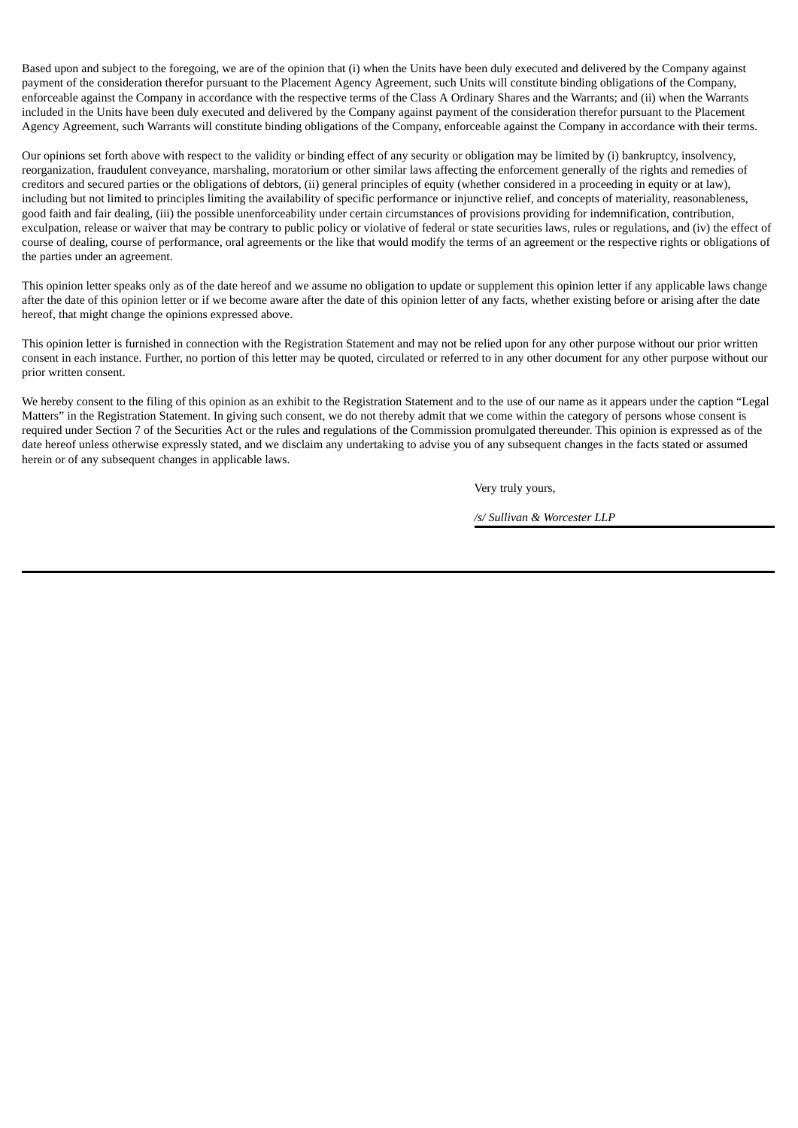Based upon and subject to the foregoing, we are of the opinion that (i) when the Units have been duly executed and delivered by the Company against payment of the consideration therefor pursuant to the Placement Agency Agreement, such Units will constitute binding obligations of the Company, enforceable against the Company in accordance with the respective terms of the Class A Ordinary Shares and the Warrants; and (ii) when the Warrants included in the Units have been duly executed and delivered by the Company against payment of the consideration therefor pursuant to the Placement Agency Agreement, such Warrants will constitute binding obligations of the Company, enforceable against the Company in accordance with their terms.

Our opinions set forth above with respect to the validity or binding effect of any security or obligation may be limited by (i) bankruptcy, insolvency, reorganization, fraudulent conveyance, marshaling, moratorium or other similar laws affecting the enforcement generally of the rights and remedies of creditors and secured parties or the obligations of debtors, (ii) general principles of equity (whether considered in a proceeding in equity or at law), including but not limited to principles limiting the availability of specific performance or injunctive relief, and concepts of materiality, reasonableness, good faith and fair dealing, (iii) the possible unenforceability under certain circumstances of provisions providing for indemnification, contribution, exculpation, release or waiver that may be contrary to public policy or violative of federal or state securities laws, rules or regulations, and (iv) the effect of course of dealing, course of performance, oral agreements or the like that would modify the terms of an agreement or the respective rights or obligations of the parties under an agreement.

This opinion letter speaks only as of the date hereof and we assume no obligation to update or supplement this opinion letter if any applicable laws change after the date of this opinion letter or if we become aware after the date of this opinion letter of any facts, whether existing before or arising after the date hereof, that might change the opinions expressed above.

This opinion letter is furnished in connection with the Registration Statement and may not be relied upon for any other purpose without our prior written consent in each instance. Further, no portion of this letter may be quoted, circulated or referred to in any other document for any other purpose without our prior written consent.

We hereby consent to the filing of this opinion as an exhibit to the Registration Statement and to the use of our name as it appears under the caption "Legal Matters" in the Registration Statement. In giving such consent, we do not thereby admit that we come within the category of persons whose consent is required under Section 7 of the Securities Act or the rules and regulations of the Commission promulgated thereunder. This opinion is expressed as of the date hereof unless otherwise expressly stated, and we disclaim any undertaking to advise you of any subsequent changes in the facts stated or assumed herein or of any subsequent changes in applicable laws.

Very truly yours,

*/s/ Sullivan & Worcester LLP*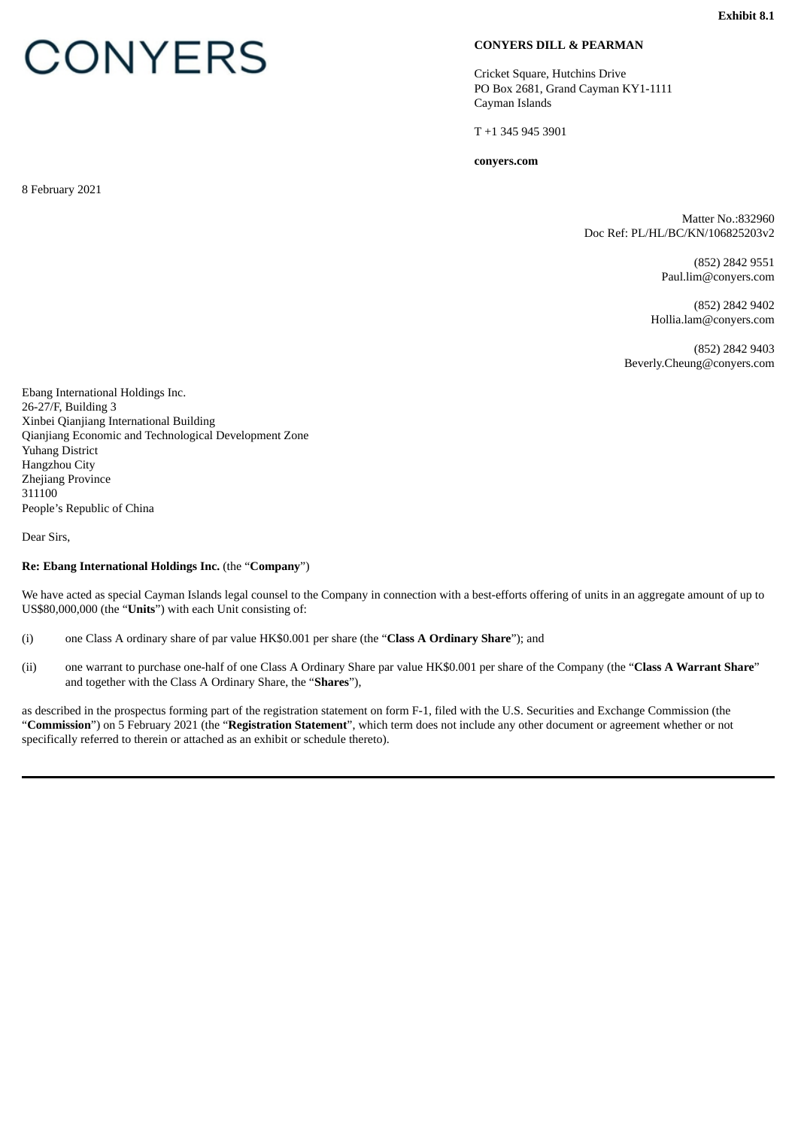# <span id="page-15-0"></span>CONYERS

#### **CONYERS DILL & PEARMAN**

Cricket Square, Hutchins Drive PO Box 2681, Grand Cayman KY1-1111 Cayman Islands

T +1 345 945 3901

**conyers.com**

8 February 2021

Matter No.:832960 Doc Ref: PL/HL/BC/KN/106825203v2

> (852) 2842 9551 Paul.lim@conyers.com

(852) 2842 9402 Hollia.lam@conyers.com

(852) 2842 9403 Beverly.Cheung@conyers.com

Ebang International Holdings Inc. 26-27/F, Building 3 Xinbei Qianjiang International Building Qianjiang Economic and Technological Development Zone Yuhang District Hangzhou City Zhejiang Province 311100 People's Republic of China

Dear Sirs,

#### **Re: Ebang International Holdings Inc.** (the "**Company**")

We have acted as special Cayman Islands legal counsel to the Company in connection with a best-efforts offering of units in an aggregate amount of up to US\$80,000,000 (the "**Units**") with each Unit consisting of:

- (i) one Class A ordinary share of par value HK\$0.001 per share (the "**Class A Ordinary Share**"); and
- (ii) one warrant to purchase one-half of one Class A Ordinary Share par value HK\$0.001 per share of the Company (the "**Class A Warrant Share**" and together with the Class A Ordinary Share, the "**Shares**"),

as described in the prospectus forming part of the registration statement on form F-1, filed with the U.S. Securities and Exchange Commission (the "**Commission**") on 5 February 2021 (the "**Registration Statement**", which term does not include any other document or agreement whether or not specifically referred to therein or attached as an exhibit or schedule thereto).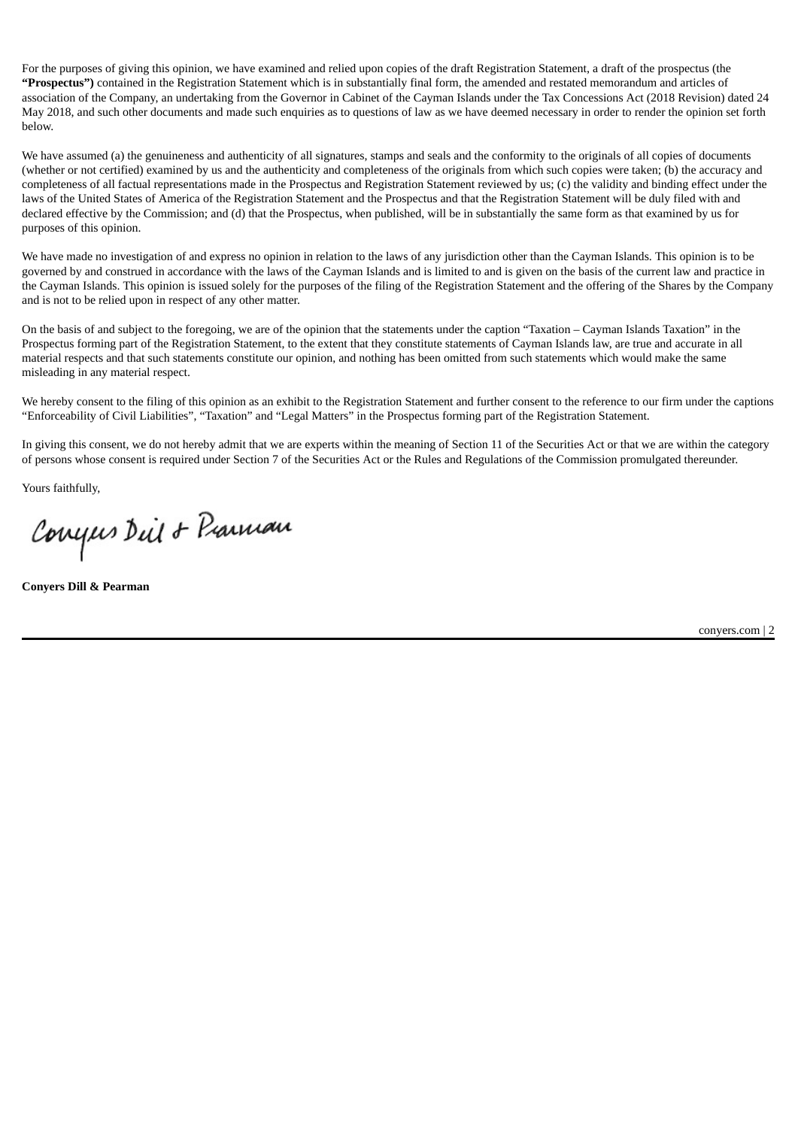For the purposes of giving this opinion, we have examined and relied upon copies of the draft Registration Statement, a draft of the prospectus (the **"Prospectus")** contained in the Registration Statement which is in substantially final form, the amended and restated memorandum and articles of association of the Company, an undertaking from the Governor in Cabinet of the Cayman Islands under the Tax Concessions Act (2018 Revision) dated 24 May 2018, and such other documents and made such enquiries as to questions of law as we have deemed necessary in order to render the opinion set forth below.

We have assumed (a) the genuineness and authenticity of all signatures, stamps and seals and the conformity to the originals of all copies of documents (whether or not certified) examined by us and the authenticity and completeness of the originals from which such copies were taken; (b) the accuracy and completeness of all factual representations made in the Prospectus and Registration Statement reviewed by us; (c) the validity and binding effect under the laws of the United States of America of the Registration Statement and the Prospectus and that the Registration Statement will be duly filed with and declared effective by the Commission; and (d) that the Prospectus, when published, will be in substantially the same form as that examined by us for purposes of this opinion.

We have made no investigation of and express no opinion in relation to the laws of any jurisdiction other than the Cayman Islands. This opinion is to be governed by and construed in accordance with the laws of the Cayman Islands and is limited to and is given on the basis of the current law and practice in the Cayman Islands. This opinion is issued solely for the purposes of the filing of the Registration Statement and the offering of the Shares by the Company and is not to be relied upon in respect of any other matter.

On the basis of and subject to the foregoing, we are of the opinion that the statements under the caption "Taxation – Cayman Islands Taxation" in the Prospectus forming part of the Registration Statement, to the extent that they constitute statements of Cayman Islands law, are true and accurate in all material respects and that such statements constitute our opinion, and nothing has been omitted from such statements which would make the same misleading in any material respect.

We hereby consent to the filing of this opinion as an exhibit to the Registration Statement and further consent to the reference to our firm under the captions "Enforceability of Civil Liabilities", "Taxation" and "Legal Matters" in the Prospectus forming part of the Registration Statement.

In giving this consent, we do not hereby admit that we are experts within the meaning of Section 11 of the Securities Act or that we are within the category of persons whose consent is required under Section 7 of the Securities Act or the Rules and Regulations of the Commission promulgated thereunder.

Yours faithfully,

Conques Dil & Prairian

**Conyers Dill & Pearman**

conyers.com | 2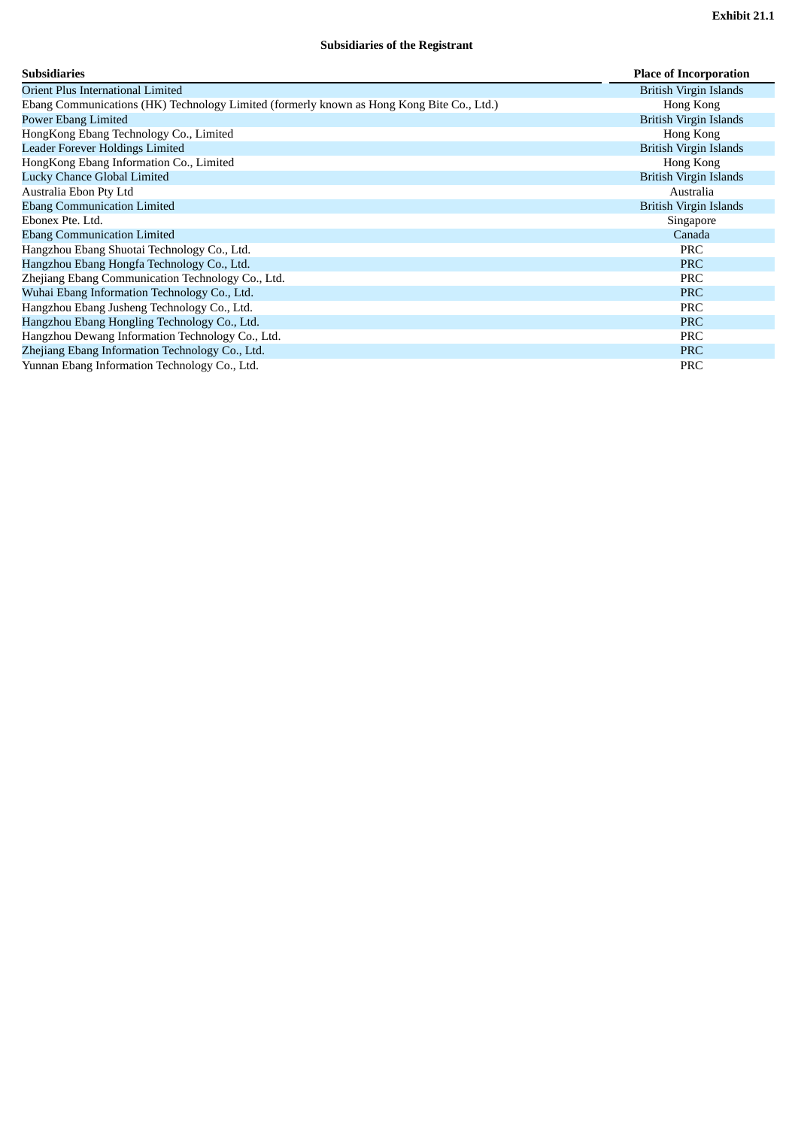#### **Subsidiaries of the Registrant**

<span id="page-17-0"></span>

| <b>Subsidiaries</b>                                                                       | <b>Place of Incorporation</b> |
|-------------------------------------------------------------------------------------------|-------------------------------|
| Orient Plus International Limited                                                         | British Virgin Islands        |
| Ebang Communications (HK) Technology Limited (formerly known as Hong Kong Bite Co., Ltd.) | Hong Kong                     |
| Power Ebang Limited                                                                       | <b>British Virgin Islands</b> |
| HongKong Ebang Technology Co., Limited                                                    | Hong Kong                     |
| Leader Forever Holdings Limited                                                           | <b>British Virgin Islands</b> |
| HongKong Ebang Information Co., Limited                                                   | Hong Kong                     |
| Lucky Chance Global Limited                                                               | <b>British Virgin Islands</b> |
| Australia Ebon Pty Ltd                                                                    | Australia                     |
| <b>Ebang Communication Limited</b>                                                        | British Virgin Islands        |
| Ebonex Pte. Ltd.                                                                          | Singapore                     |
| <b>Ebang Communication Limited</b>                                                        | Canada                        |
| Hangzhou Ebang Shuotai Technology Co., Ltd.                                               | <b>PRC</b>                    |
| Hangzhou Ebang Hongfa Technology Co., Ltd.                                                | <b>PRC</b>                    |
| Zhejiang Ebang Communication Technology Co., Ltd.                                         | <b>PRC</b>                    |
| Wuhai Ebang Information Technology Co., Ltd.                                              | <b>PRC</b>                    |
| Hangzhou Ebang Jusheng Technology Co., Ltd.                                               | <b>PRC</b>                    |
| Hangzhou Ebang Hongling Technology Co., Ltd.                                              | <b>PRC</b>                    |
| Hangzhou Dewang Information Technology Co., Ltd.                                          | <b>PRC</b>                    |
| Zhejiang Ebang Information Technology Co., Ltd.                                           | <b>PRC</b>                    |
| Yunnan Ebang Information Technology Co., Ltd.                                             | <b>PRC</b>                    |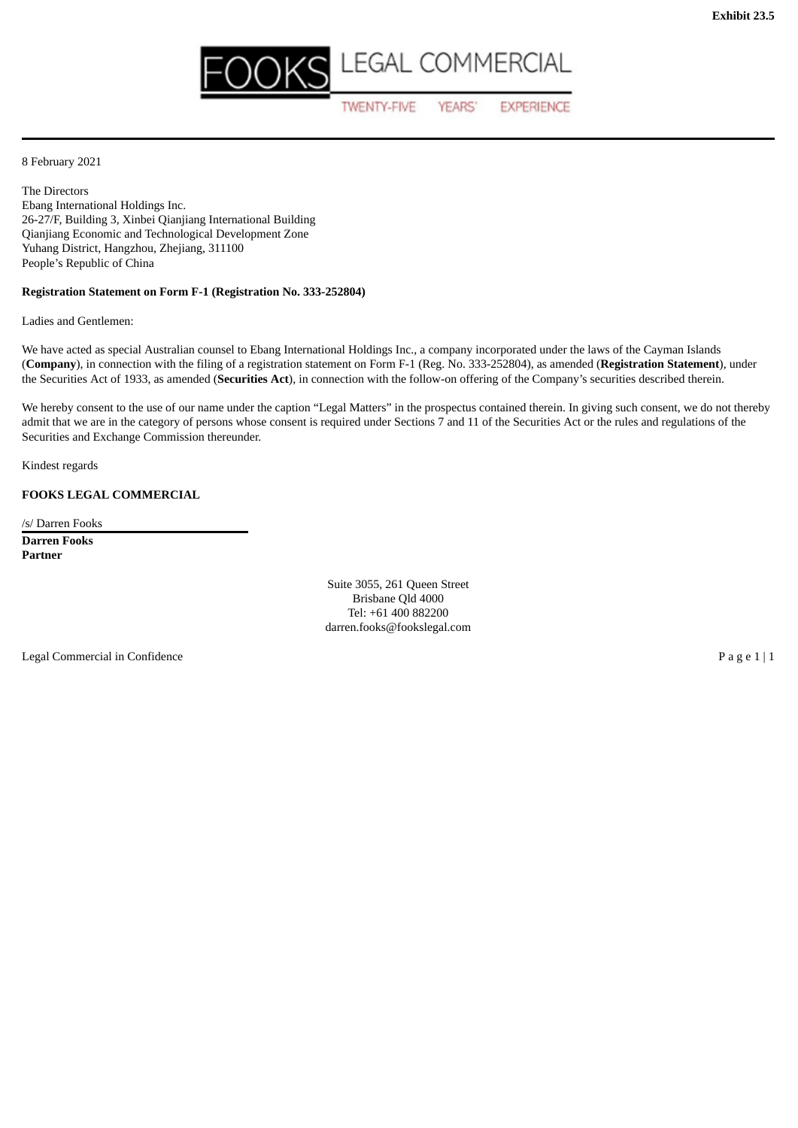

**TWENTY-FIVE EXPERIENCE** 

<span id="page-18-0"></span>8 February 2021

The Directors Ebang International Holdings Inc. 26-27/F, Building 3, Xinbei Qianjiang International Building Qianjiang Economic and Technological Development Zone Yuhang District, Hangzhou, Zhejiang, 311100 People's Republic of China

#### **Registration Statement on Form F-1 (Registration No. 333-252804)**

Ladies and Gentlemen:

We have acted as special Australian counsel to Ebang International Holdings Inc., a company incorporated under the laws of the Cayman Islands (**Company**), in connection with the filing of a registration statement on Form F-1 (Reg. No. 333-252804), as amended (**Registration Statement**), under the Securities Act of 1933, as amended (**Securities Act**), in connection with the follow-on offering of the Company's securities described therein.

We hereby consent to the use of our name under the caption "Legal Matters" in the prospectus contained therein. In giving such consent, we do not thereby admit that we are in the category of persons whose consent is required under Sections 7 and 11 of the Securities Act or the rules and regulations of the Securities and Exchange Commission thereunder.

Kindest regards

#### **FOOKS LEGAL COMMERCIAL**

/s/ Darren Fooks

**Darren Fooks Partner**

> Suite 3055, 261 Queen Street Brisbane Qld 4000 Tel: +61 400 882200 darren.fooks@fookslegal.com

Legal Commercial in Confidence P a g e 1 | 1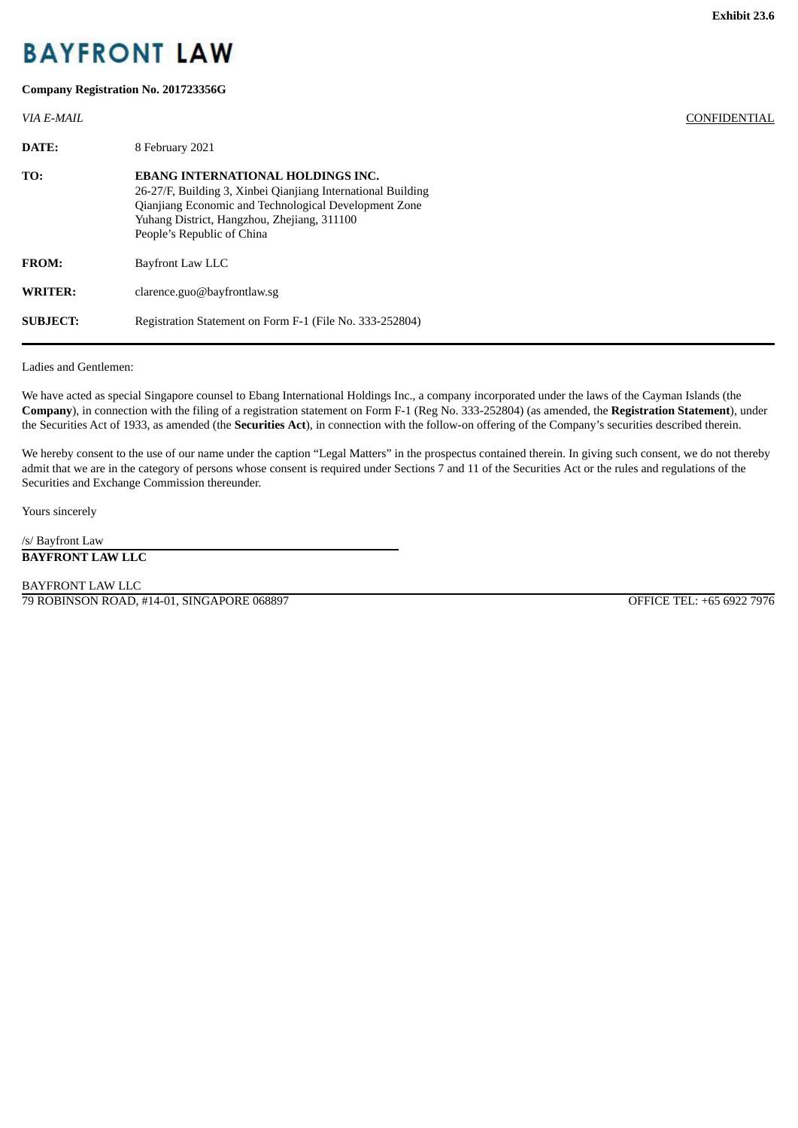## <span id="page-19-0"></span>**BAYFRONT LAW**

#### **Company Registration No. 201723356G**

**DATE:** 8 February 2021 **TO: EBANG INTERNATIONAL HOLDINGS INC.** 26-27/F, Building 3, Xinbei Qianjiang International Building Qianjiang Economic and Technological Development Zone Yuhang District, Hangzhou, Zhejiang, 311100 People's Republic of China **FROM:** Bayfront Law LLC **WRITER:** clarence.guo@bayfrontlaw.sg **SUBJECT:** Registration Statement on Form F-1 (File No. 333-252804)

Ladies and Gentlemen:

We have acted as special Singapore counsel to Ebang International Holdings Inc., a company incorporated under the laws of the Cayman Islands (the **Company**), in connection with the filing of a registration statement on Form F-1 (Reg No. 333-252804) (as amended, the **Registration Statement**), under the Securities Act of 1933, as amended (the **Securities Act**), in connection with the follow-on offering of the Company's securities described therein.

We hereby consent to the use of our name under the caption "Legal Matters" in the prospectus contained therein. In giving such consent, we do not thereby admit that we are in the category of persons whose consent is required under Sections 7 and 11 of the Securities Act or the rules and regulations of the Securities and Exchange Commission thereunder.

Yours sincerely

/s/ Bayfront Law

**BAYFRONT LAW LLC**

#### BAYFRONT LAW LLC

79 ROBINSON ROAD, #14-01, SINGAPORE 068897 OFFICE TEL: +65 6922 7976

*VIA E-MAIL* CONFIDENTIAL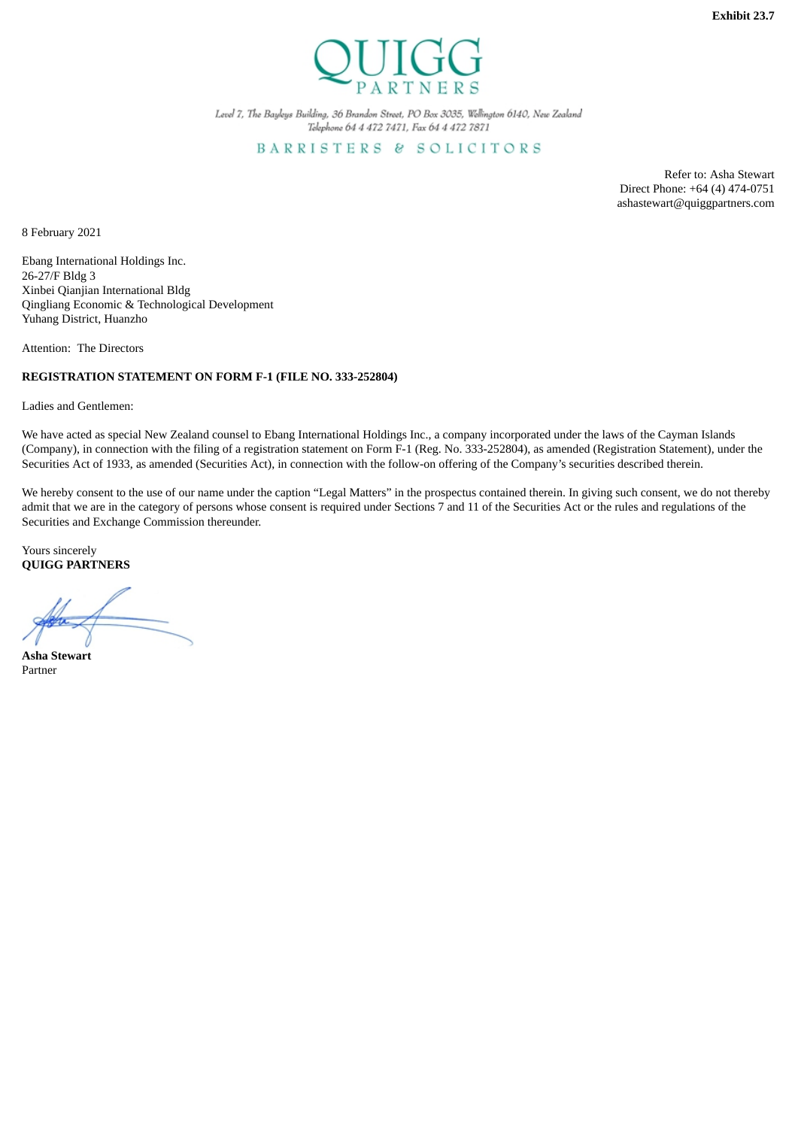

Level 7, The Bayleys Building, 36 Brandon Street, PO Box 3035, Wellington 6140, New Zealand Telephone 64 4 472 7471, Fax 64 4 472 7871

#### BARRISTERS & SOLICITORS

Refer to: Asha Stewart Direct Phone: +64 (4) 474-0751 ashastewart@quiggpartners.com

<span id="page-20-0"></span>8 February 2021

Ebang International Holdings Inc. 26-27/F Bldg 3 Xinbei Qianjian International Bldg Qingliang Economic & Technological Development Yuhang District, Huanzho

Attention: The Directors

#### **REGISTRATION STATEMENT ON FORM F-1 (FILE NO. 333-252804)**

Ladies and Gentlemen:

We have acted as special New Zealand counsel to Ebang International Holdings Inc., a company incorporated under the laws of the Cayman Islands (Company), in connection with the filing of a registration statement on Form F-1 (Reg. No. 333-252804), as amended (Registration Statement), under the Securities Act of 1933, as amended (Securities Act), in connection with the follow-on offering of the Company's securities described therein.

We hereby consent to the use of our name under the caption "Legal Matters" in the prospectus contained therein. In giving such consent, we do not thereby admit that we are in the category of persons whose consent is required under Sections 7 and 11 of the Securities Act or the rules and regulations of the Securities and Exchange Commission thereunder.

Yours sincerely **QUIGG PARTNERS**

**Asha Stewart** Partner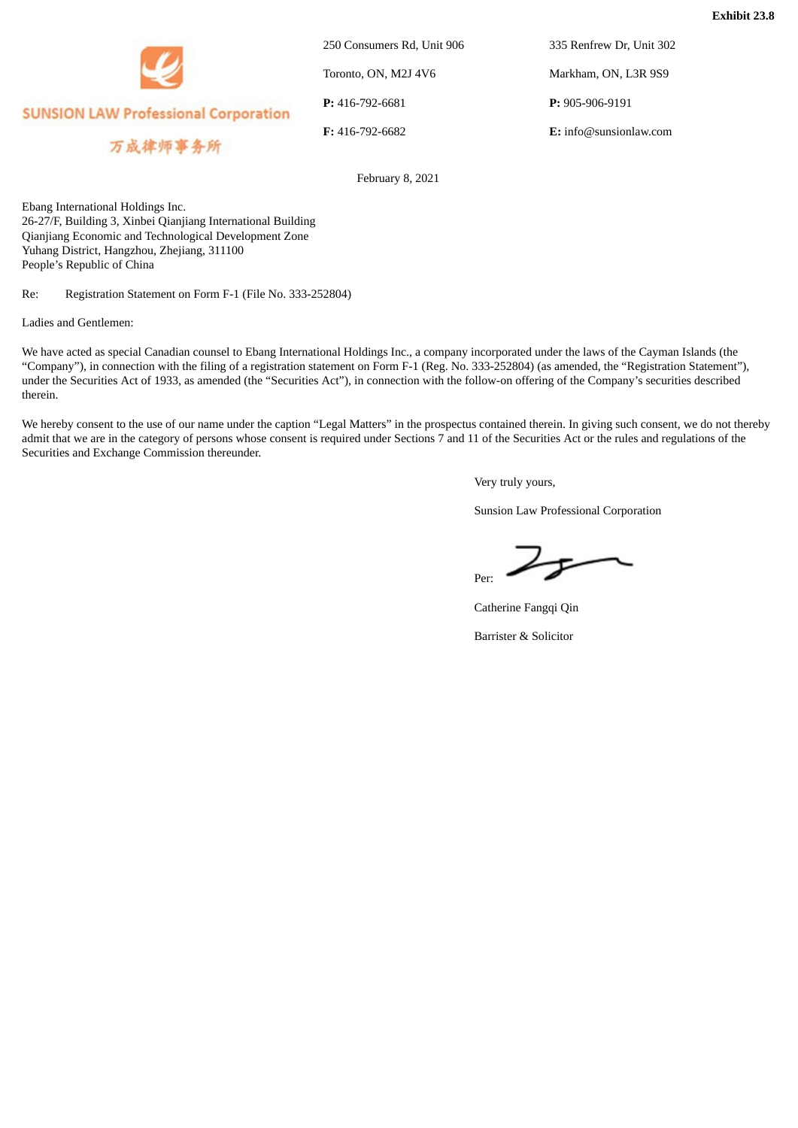

### <span id="page-21-0"></span>**SUNSION LAW Professional Corporation**

万成律师事务所

250 Consumers Rd, Unit 906

Toronto, ON, M2J 4V6

**P:** 416-792-6681

**F:** 416-792-6682

Markham, ON, L3R 9S9 **P:** 905-906-9191

**E:** info@sunsionlaw.com

335 Renfrew Dr, Unit 302

February 8, 2021

Ebang International Holdings Inc. 26-27/F, Building 3, Xinbei Qianjiang International Building Qianjiang Economic and Technological Development Zone Yuhang District, Hangzhou, Zhejiang, 311100 People's Republic of China

Re: Registration Statement on Form F-1 (File No. 333-252804)

Ladies and Gentlemen:

We have acted as special Canadian counsel to Ebang International Holdings Inc., a company incorporated under the laws of the Cayman Islands (the "Company"), in connection with the filing of a registration statement on Form F-1 (Reg. No. 333-252804) (as amended, the "Registration Statement"), under the Securities Act of 1933, as amended (the "Securities Act"), in connection with the follow-on offering of the Company's securities described therein.

We hereby consent to the use of our name under the caption "Legal Matters" in the prospectus contained therein. In giving such consent, we do not thereby admit that we are in the category of persons whose consent is required under Sections 7 and 11 of the Securities Act or the rules and regulations of the Securities and Exchange Commission thereunder.

Very truly yours,

Sunsion Law Professional Corporation

Per:

Catherine Fangqi Qin Barrister & Solicitor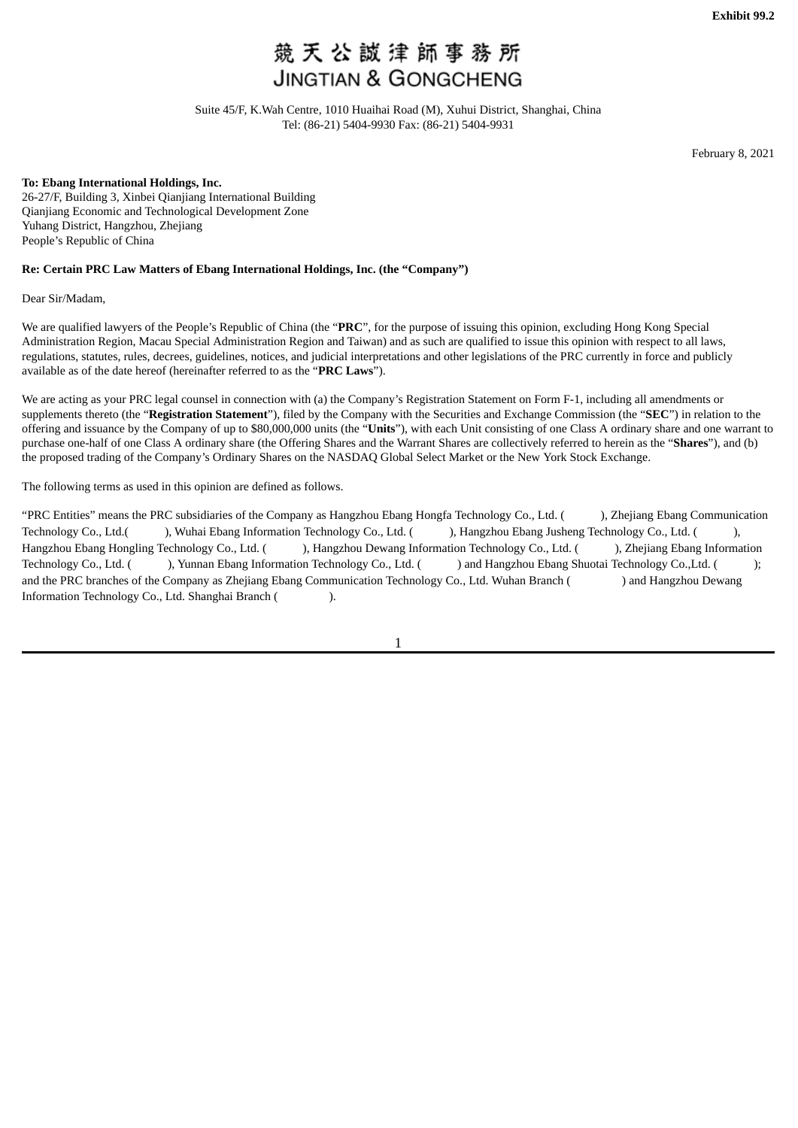### 競天公誠律師事務所 **JINGTIAN & GONGCHENG**

Suite 45/F, K.Wah Centre, 1010 Huaihai Road (M), Xuhui District, Shanghai, China Tel: (86-21) 5404-9930 Fax: (86-21) 5404-9931

February 8, 2021

#### <span id="page-22-0"></span>**To: Ebang International Holdings, Inc.**

26-27/F, Building 3, Xinbei Qianjiang International Building Qianjiang Economic and Technological Development Zone Yuhang District, Hangzhou, Zhejiang People's Republic of China

#### **Re: Certain PRC Law Matters of Ebang International Holdings, Inc. (the "Company")**

Dear Sir/Madam,

We are qualified lawyers of the People's Republic of China (the "**PRC**", for the purpose of issuing this opinion, excluding Hong Kong Special Administration Region, Macau Special Administration Region and Taiwan) and as such are qualified to issue this opinion with respect to all laws, regulations, statutes, rules, decrees, guidelines, notices, and judicial interpretations and other legislations of the PRC currently in force and publicly available as of the date hereof (hereinafter referred to as the "**PRC Laws**").

We are acting as your PRC legal counsel in connection with (a) the Company's Registration Statement on Form F-1, including all amendments or supplements thereto (the "**Registration Statement**"), filed by the Company with the Securities and Exchange Commission (the "**SEC**") in relation to the offering and issuance by the Company of up to \$80,000,000 units (the "**Units**"), with each Unit consisting of one Class A ordinary share and one warrant to purchase one-half of one Class A ordinary share (the Offering Shares and the Warrant Shares are collectively referred to herein as the "**Shares**"), and (b) the proposed trading of the Company's Ordinary Shares on the NASDAQ Global Select Market or the New York Stock Exchange.

The following terms as used in this opinion are defined as follows.

"PRC Entities" means the PRC subsidiaries of the Company as Hangzhou Ebang Hongfa Technology Co., Ltd. ( ), Zhejiang Ebang Communication Technology Co., Ltd.( ), Wuhai Ebang Information Technology Co., Ltd. ( ), Hangzhou Ebang Jusheng Technology Co., Ltd. ( ), Hangzhou Ebang Hongling Technology Co., Ltd. ( ), Hangzhou Dewang Information Technology Co., Ltd. ( ), Zhejiang Ebang Information Technology Co., Ltd. ( ), Yunnan Ebang Information Technology Co., Ltd. () and Hangzhou Ebang Shuotai Technology Co.,Ltd. (); and the PRC branches of the Company as Zhejiang Ebang Communication Technology Co., Ltd. Wuhan Branch () and Hangzhou Dewang Information Technology Co., Ltd. Shanghai Branch ( ).

1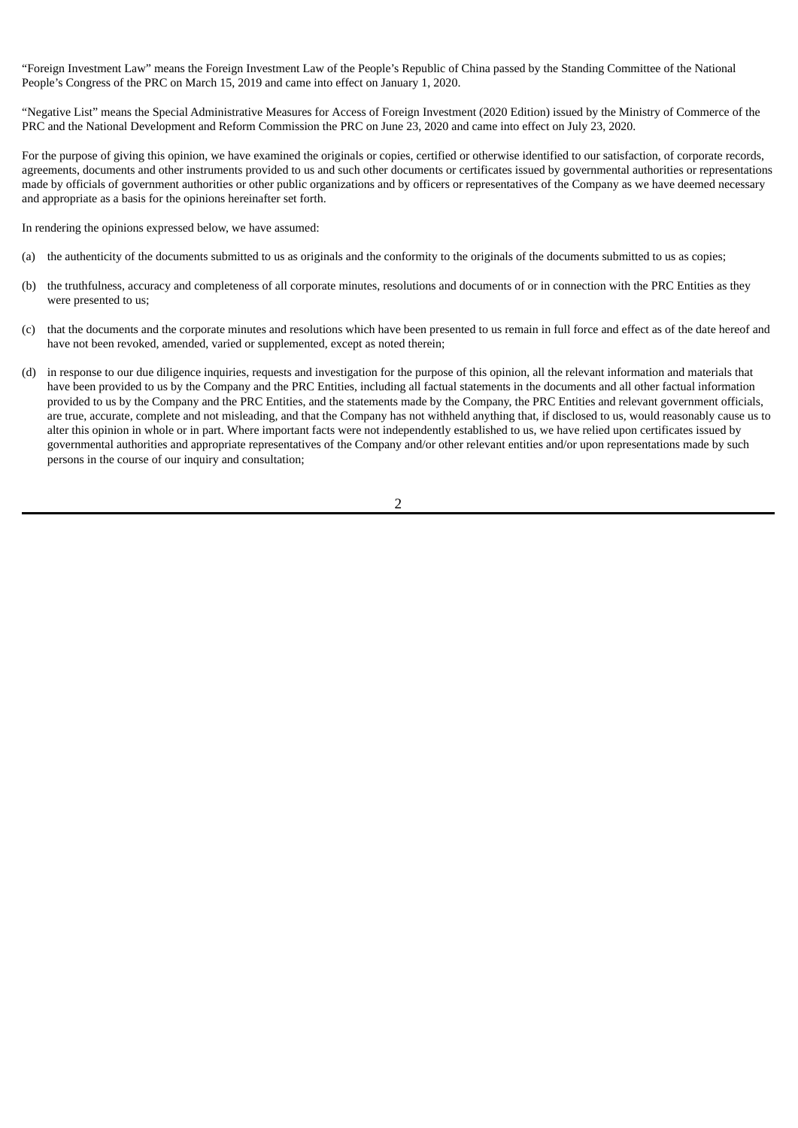"Foreign Investment Law" means the Foreign Investment Law of the People's Republic of China passed by the Standing Committee of the National People's Congress of the PRC on March 15, 2019 and came into effect on January 1, 2020.

"Negative List" means the Special Administrative Measures for Access of Foreign Investment (2020 Edition) issued by the Ministry of Commerce of the PRC and the National Development and Reform Commission the PRC on June 23, 2020 and came into effect on July 23, 2020.

For the purpose of giving this opinion, we have examined the originals or copies, certified or otherwise identified to our satisfaction, of corporate records, agreements, documents and other instruments provided to us and such other documents or certificates issued by governmental authorities or representations made by officials of government authorities or other public organizations and by officers or representatives of the Company as we have deemed necessary and appropriate as a basis for the opinions hereinafter set forth.

In rendering the opinions expressed below, we have assumed:

- (a) the authenticity of the documents submitted to us as originals and the conformity to the originals of the documents submitted to us as copies;
- (b) the truthfulness, accuracy and completeness of all corporate minutes, resolutions and documents of or in connection with the PRC Entities as they were presented to us;
- (c) that the documents and the corporate minutes and resolutions which have been presented to us remain in full force and effect as of the date hereof and have not been revoked, amended, varied or supplemented, except as noted therein;
- (d) in response to our due diligence inquiries, requests and investigation for the purpose of this opinion, all the relevant information and materials that have been provided to us by the Company and the PRC Entities, including all factual statements in the documents and all other factual information provided to us by the Company and the PRC Entities, and the statements made by the Company, the PRC Entities and relevant government officials, are true, accurate, complete and not misleading, and that the Company has not withheld anything that, if disclosed to us, would reasonably cause us to alter this opinion in whole or in part. Where important facts were not independently established to us, we have relied upon certificates issued by governmental authorities and appropriate representatives of the Company and/or other relevant entities and/or upon representations made by such persons in the course of our inquiry and consultation;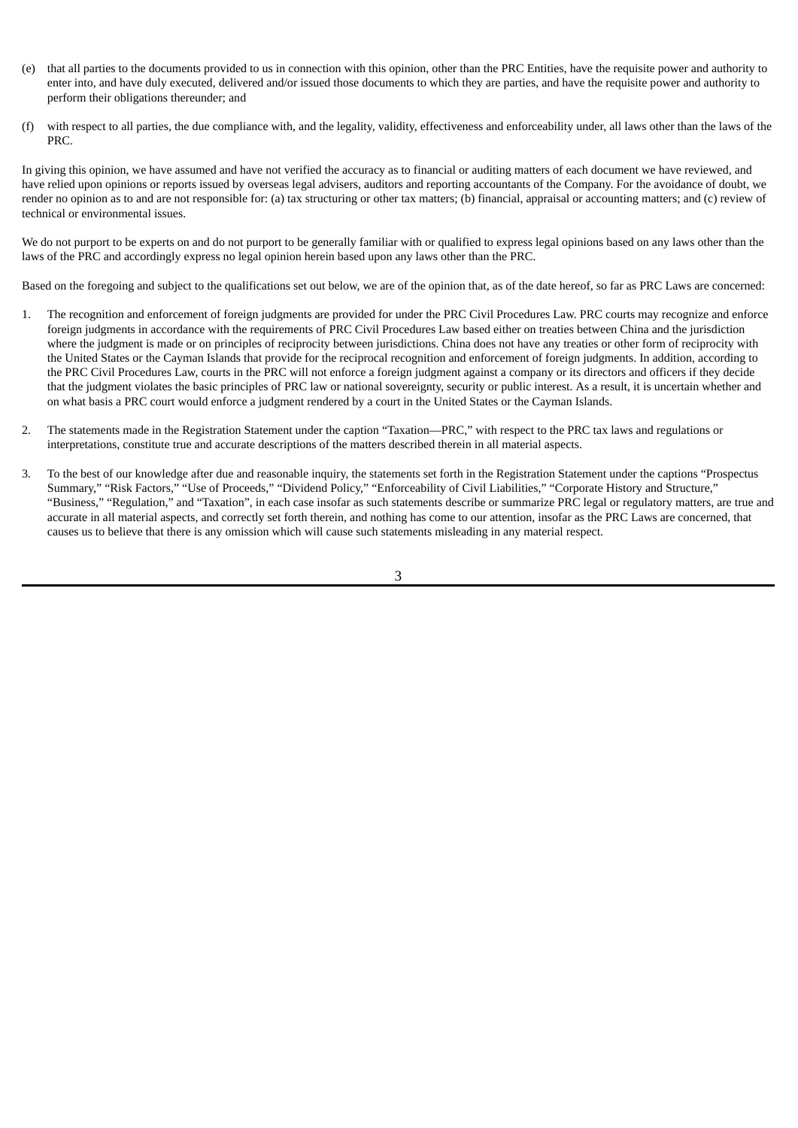- (e) that all parties to the documents provided to us in connection with this opinion, other than the PRC Entities, have the requisite power and authority to enter into, and have duly executed, delivered and/or issued those documents to which they are parties, and have the requisite power and authority to perform their obligations thereunder; and
- (f) with respect to all parties, the due compliance with, and the legality, validity, effectiveness and enforceability under, all laws other than the laws of the PRC.

In giving this opinion, we have assumed and have not verified the accuracy as to financial or auditing matters of each document we have reviewed, and have relied upon opinions or reports issued by overseas legal advisers, auditors and reporting accountants of the Company. For the avoidance of doubt, we render no opinion as to and are not responsible for: (a) tax structuring or other tax matters; (b) financial, appraisal or accounting matters; and (c) review of technical or environmental issues.

We do not purport to be experts on and do not purport to be generally familiar with or qualified to express legal opinions based on any laws other than the laws of the PRC and accordingly express no legal opinion herein based upon any laws other than the PRC.

Based on the foregoing and subject to the qualifications set out below, we are of the opinion that, as of the date hereof, so far as PRC Laws are concerned:

- 1. The recognition and enforcement of foreign judgments are provided for under the PRC Civil Procedures Law. PRC courts may recognize and enforce foreign judgments in accordance with the requirements of PRC Civil Procedures Law based either on treaties between China and the jurisdiction where the judgment is made or on principles of reciprocity between jurisdictions. China does not have any treaties or other form of reciprocity with the United States or the Cayman Islands that provide for the reciprocal recognition and enforcement of foreign judgments. In addition, according to the PRC Civil Procedures Law, courts in the PRC will not enforce a foreign judgment against a company or its directors and officers if they decide that the judgment violates the basic principles of PRC law or national sovereignty, security or public interest. As a result, it is uncertain whether and on what basis a PRC court would enforce a judgment rendered by a court in the United States or the Cayman Islands.
- 2. The statements made in the Registration Statement under the caption "Taxation—PRC," with respect to the PRC tax laws and regulations or interpretations, constitute true and accurate descriptions of the matters described therein in all material aspects.
- 3. To the best of our knowledge after due and reasonable inquiry, the statements set forth in the Registration Statement under the captions "Prospectus Summary," "Risk Factors," "Use of Proceeds," "Dividend Policy," "Enforceability of Civil Liabilities," "Corporate History and Structure," "Business," "Regulation," and "Taxation", in each case insofar as such statements describe or summarize PRC legal or regulatory matters, are true and accurate in all material aspects, and correctly set forth therein, and nothing has come to our attention, insofar as the PRC Laws are concerned, that causes us to believe that there is any omission which will cause such statements misleading in any material respect.

3